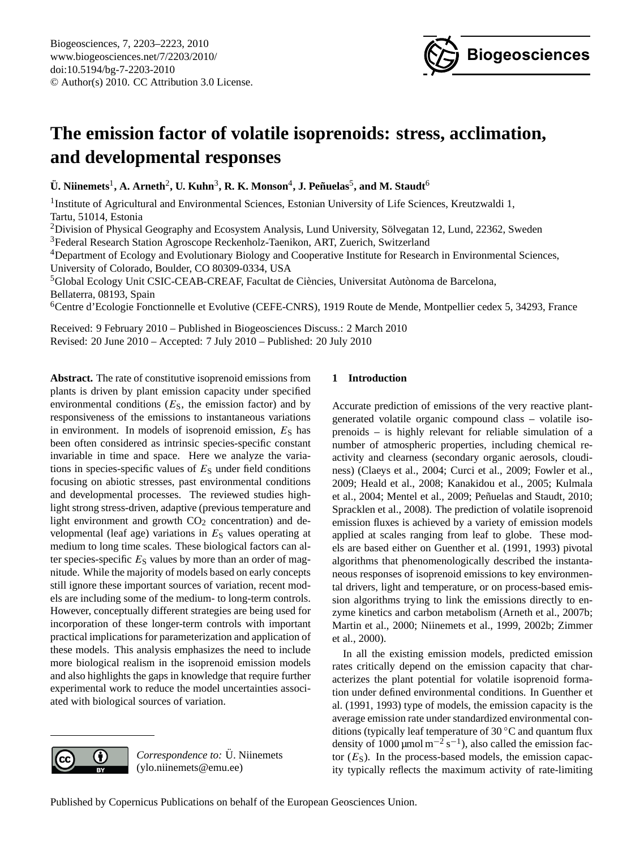

# <span id="page-0-0"></span>**The emission factor of volatile isoprenoids: stress, acclimation, and developmental responses**

 $\ddot{\textbf{U}}$ . Niinemets<sup>1</sup>, A. Arneth<sup>2</sup>, U. Kuhn<sup>3</sup>, R. K. Monson<sup>4</sup>, J. Peñuelas<sup>5</sup>, and M. Staudt<sup>6</sup>

<sup>1</sup>Institute of Agricultural and Environmental Sciences, Estonian University of Life Sciences, Kreutzwaldi 1, Tartu, 51014, Estonia

<sup>2</sup>Division of Physical Geography and Ecosystem Analysis, Lund University, Sölvegatan 12, Lund, 22362, Sweden <sup>3</sup>Federal Research Station Agroscope Reckenholz-Taenikon, ART, Zuerich, Switzerland

<sup>4</sup>Department of Ecology and Evolutionary Biology and Cooperative Institute for Research in Environmental Sciences, University of Colorado, Boulder, CO 80309-0334, USA

<sup>5</sup>Global Ecology Unit CSIC-CEAB-CREAF, Facultat de Ciències, Universitat Autònoma de Barcelona, Bellaterra, 08193, Spain

<sup>6</sup>Centre d'Ecologie Fonctionnelle et Evolutive (CEFE-CNRS), 1919 Route de Mende, Montpellier cedex 5, 34293, France

Received: 9 February 2010 – Published in Biogeosciences Discuss.: 2 March 2010 Revised: 20 June 2010 – Accepted: 7 July 2010 – Published: 20 July 2010

**Abstract.** The rate of constitutive isoprenoid emissions from plants is driven by plant emission capacity under specified environmental conditions  $(E<sub>S</sub>)$ , the emission factor) and by responsiveness of the emissions to instantaneous variations in environment. In models of isoprenoid emission,  $E_S$  has been often considered as intrinsic species-specific constant invariable in time and space. Here we analyze the variations in species-specific values of  $E<sub>S</sub>$  under field conditions focusing on abiotic stresses, past environmental conditions and developmental processes. The reviewed studies highlight strong stress-driven, adaptive (previous temperature and light environment and growth  $CO<sub>2</sub>$  concentration) and developmental (leaf age) variations in  $E<sub>S</sub>$  values operating at medium to long time scales. These biological factors can alter species-specific  $E<sub>S</sub>$  values by more than an order of magnitude. While the majority of models based on early concepts still ignore these important sources of variation, recent models are including some of the medium- to long-term controls. However, conceptually different strategies are being used for incorporation of these longer-term controls with important practical implications for parameterization and application of these models. This analysis emphasizes the need to include more biological realism in the isoprenoid emission models and also highlights the gaps in knowledge that require further experimental work to reduce the model uncertainties associated with biological sources of variation.

# **1 Introduction**

Accurate prediction of emissions of the very reactive plantgenerated volatile organic compound class – volatile isoprenoids – is highly relevant for reliable simulation of a number of atmospheric properties, including chemical reactivity and clearness (secondary organic aerosols, cloudiness) (Claeys et al., 2004; Curci et al., 2009; Fowler et al., 2009; Heald et al., 2008; Kanakidou et al., 2005; Kulmala et al., 2004; Mentel et al., 2009; Peñuelas and Staudt, 2010; Spracklen et al., 2008). The prediction of volatile isoprenoid emission fluxes is achieved by a variety of emission models applied at scales ranging from leaf to globe. These models are based either on Guenther et al. (1991, 1993) pivotal algorithms that phenomenologically described the instantaneous responses of isoprenoid emissions to key environmental drivers, light and temperature, or on process-based emission algorithms trying to link the emissions directly to enzyme kinetics and carbon metabolism (Arneth et al., 2007b; Martin et al., 2000; Niinemets et al., 1999, 2002b; Zimmer et al., 2000).

In all the existing emission models, predicted emission rates critically depend on the emission capacity that characterizes the plant potential for volatile isoprenoid formation under defined environmental conditions. In Guenther et al. (1991, 1993) type of models, the emission capacity is the average emission rate under standardized environmental conditions (typically leaf temperature of 30 ◦C and quantum flux density of 1000 µmol m<sup>-2</sup> s<sup>-1</sup>), also called the emission factor  $(E<sub>S</sub>)$ . In the process-based models, the emission capacity typically reflects the maximum activity of rate-limiting



*Correspondence to:*  $\ddot{\text{U}}$ . Niinemets (ylo.niinemets@emu.ee)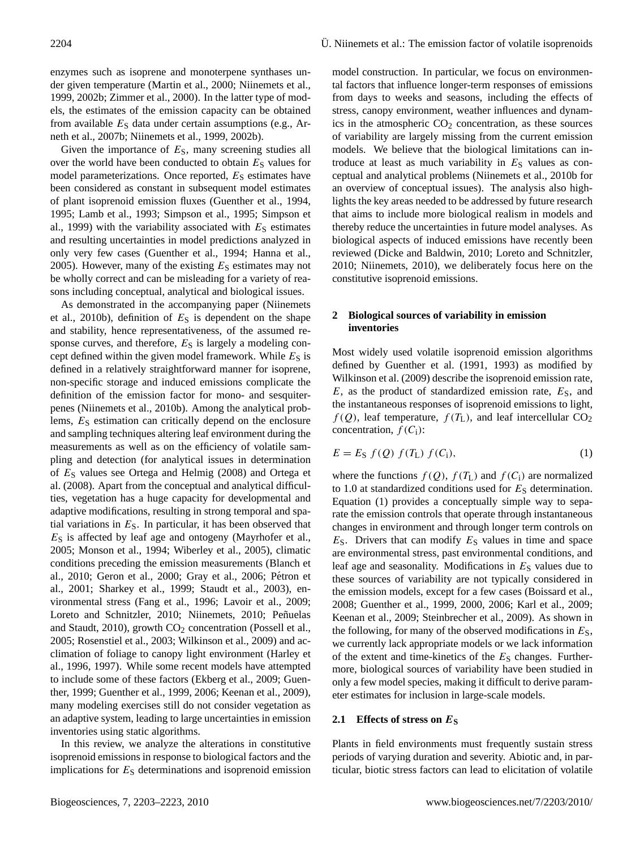2204 U. Niinemets et al.: The emission factor of volatile isoprenoids

enzymes such as isoprene and monoterpene synthases under given temperature (Martin et al., 2000; Niinemets et al., 1999, 2002b; Zimmer et al., 2000). In the latter type of models, the estimates of the emission capacity can be obtained from available  $E<sub>S</sub>$  data under certain assumptions (e.g., Arneth et al., 2007b; Niinemets et al., 1999, 2002b).

Given the importance of  $E<sub>S</sub>$ , many screening studies all over the world have been conducted to obtain  $E<sub>S</sub>$  values for model parameterizations. Once reported,  $E<sub>S</sub>$  estimates have been considered as constant in subsequent model estimates of plant isoprenoid emission fluxes (Guenther et al., 1994, 1995; Lamb et al., 1993; Simpson et al., 1995; Simpson et al., 1999) with the variability associated with  $E<sub>S</sub>$  estimates and resulting uncertainties in model predictions analyzed in only very few cases (Guenther et al., 1994; Hanna et al., 2005). However, many of the existing  $E<sub>S</sub>$  estimates may not be wholly correct and can be misleading for a variety of reasons including conceptual, analytical and biological issues.

As demonstrated in the accompanying paper (Niinemets et al., 2010b), definition of  $E<sub>S</sub>$  is dependent on the shape and stability, hence representativeness, of the assumed response curves, and therefore,  $E<sub>S</sub>$  is largely a modeling concept defined within the given model framework. While  $E<sub>S</sub>$  is defined in a relatively straightforward manner for isoprene, non-specific storage and induced emissions complicate the definition of the emission factor for mono- and sesquiterpenes (Niinemets et al., 2010b). Among the analytical problems,  $E<sub>S</sub>$  estimation can critically depend on the enclosure and sampling techniques altering leaf environment during the measurements as well as on the efficiency of volatile sampling and detection (for analytical issues in determination of  $E<sub>S</sub>$  values see Ortega and Helmig (2008) and Ortega et al. (2008). Apart from the conceptual and analytical difficulties, vegetation has a huge capacity for developmental and adaptive modifications, resulting in strong temporal and spatial variations in  $E<sub>S</sub>$ . In particular, it has been observed that  $E<sub>S</sub>$  is affected by leaf age and ontogeny (Mayrhofer et al., 2005; Monson et al., 1994; Wiberley et al., 2005), climatic conditions preceding the emission measurements (Blanch et al., 2010; Geron et al., 2000; Gray et al., 2006; Pétron et al., 2001; Sharkey et al., 1999; Staudt et al., 2003), environmental stress (Fang et al., 1996; Lavoir et al., 2009; Loreto and Schnitzler, 2010; Niinemets, 2010; Peñuelas and Staudt, 2010), growth  $CO<sub>2</sub>$  concentration (Possell et al., 2005; Rosenstiel et al., 2003; Wilkinson et al., 2009) and acclimation of foliage to canopy light environment (Harley et al., 1996, 1997). While some recent models have attempted to include some of these factors (Ekberg et al., 2009; Guenther, 1999; Guenther et al., 1999, 2006; Keenan et al., 2009), many modeling exercises still do not consider vegetation as an adaptive system, leading to large uncertainties in emission inventories using static algorithms.

In this review, we analyze the alterations in constitutive isoprenoid emissions in response to biological factors and the implications for  $E<sub>S</sub>$  determinations and isoprenoid emission model construction. In particular, we focus on environmental factors that influence longer-term responses of emissions from days to weeks and seasons, including the effects of stress, canopy environment, weather influences and dynamics in the atmospheric  $CO<sub>2</sub>$  concentration, as these sources of variability are largely missing from the current emission models. We believe that the biological limitations can introduce at least as much variability in  $E<sub>S</sub>$  values as conceptual and analytical problems (Niinemets et al., 2010b for an overview of conceptual issues). The analysis also highlights the key areas needed to be addressed by future research that aims to include more biological realism in models and thereby reduce the uncertainties in future model analyses. As biological aspects of induced emissions have recently been reviewed (Dicke and Baldwin, 2010; Loreto and Schnitzler, 2010; Niinemets, 2010), we deliberately focus here on the constitutive isoprenoid emissions.

## **2 Biological sources of variability in emission inventories**

Most widely used volatile isoprenoid emission algorithms defined by Guenther et al. (1991, 1993) as modified by Wilkinson et al. (2009) describe the isoprenoid emission rate,  $E$ , as the product of standardized emission rate,  $E<sub>S</sub>$ , and the instantaneous responses of isoprenoid emissions to light,  $f(Q)$ , leaf temperature,  $f(T_L)$ , and leaf intercellular CO<sub>2</sub> concentration,  $f(C_i)$ :

$$
E = ES f(Q) f(TL) f(Ci),
$$
\n(1)

where the functions  $f(Q)$ ,  $f(T_L)$  and  $f(C_i)$  are normalized to 1.0 at standardized conditions used for  $E<sub>S</sub>$  determination. Equation (1) provides a conceptually simple way to separate the emission controls that operate through instantaneous changes in environment and through longer term controls on  $E<sub>S</sub>$ . Drivers that can modify  $E<sub>S</sub>$  values in time and space are environmental stress, past environmental conditions, and leaf age and seasonality. Modifications in  $E<sub>S</sub>$  values due to these sources of variability are not typically considered in the emission models, except for a few cases (Boissard et al., 2008; Guenther et al., 1999, 2000, 2006; Karl et al., 2009; Keenan et al., 2009; Steinbrecher et al., 2009). As shown in the following, for many of the observed modifications in  $E<sub>S</sub>$ , we currently lack appropriate models or we lack information of the extent and time-kinetics of the  $E<sub>S</sub>$  changes. Furthermore, biological sources of variability have been studied in only a few model species, making it difficult to derive parameter estimates for inclusion in large-scale models.

## **2.1 Effects of stress on** E**<sup>S</sup>**

Plants in field environments must frequently sustain stress periods of varying duration and severity. Abiotic and, in particular, biotic stress factors can lead to elicitation of volatile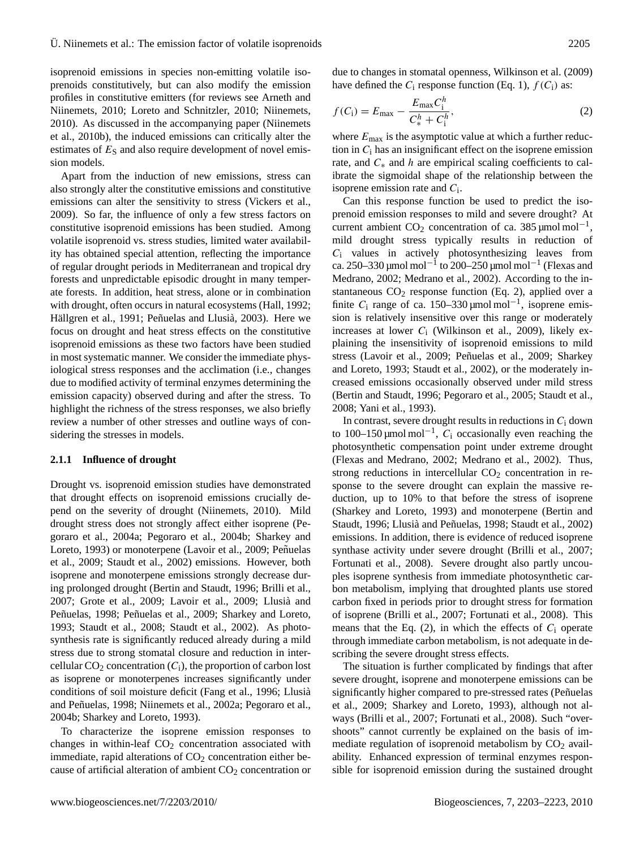isoprenoid emissions in species non-emitting volatile isoprenoids constitutively, but can also modify the emission profiles in constitutive emitters (for reviews see Arneth and Niinemets, 2010; Loreto and Schnitzler, 2010; Niinemets, 2010). As discussed in the accompanying paper (Niinemets et al., 2010b), the induced emissions can critically alter the estimates of  $E<sub>S</sub>$  and also require development of novel emission models.

Apart from the induction of new emissions, stress can also strongly alter the constitutive emissions and constitutive emissions can alter the sensitivity to stress (Vickers et al., 2009). So far, the influence of only a few stress factors on constitutive isoprenoid emissions has been studied. Among volatile isoprenoid vs. stress studies, limited water availability has obtained special attention, reflecting the importance of regular drought periods in Mediterranean and tropical dry forests and unpredictable episodic drought in many temperate forests. In addition, heat stress, alone or in combination with drought, often occurs in natural ecosystems (Hall, 1992; Hällgren et al., 1991; Peñuelas and Llusià, 2003). Here we focus on drought and heat stress effects on the constitutive isoprenoid emissions as these two factors have been studied in most systematic manner. We consider the immediate physiological stress responses and the acclimation (i.e., changes due to modified activity of terminal enzymes determining the emission capacity) observed during and after the stress. To highlight the richness of the stress responses, we also briefly review a number of other stresses and outline ways of considering the stresses in models.

#### **2.1.1 Influence of drought**

Drought vs. isoprenoid emission studies have demonstrated that drought effects on isoprenoid emissions crucially depend on the severity of drought (Niinemets, 2010). Mild drought stress does not strongly affect either isoprene (Pegoraro et al., 2004a; Pegoraro et al., 2004b; Sharkey and Loreto, 1993) or monoterpene (Lavoir et al., 2009; Peñuelas et al., 2009; Staudt et al., 2002) emissions. However, both isoprene and monoterpene emissions strongly decrease during prolonged drought (Bertin and Staudt, 1996; Brilli et al., 2007; Grote et al., 2009; Lavoir et al., 2009; Llusia and ` Peñuelas, 1998; Peñuelas et al., 2009; Sharkey and Loreto, 1993; Staudt et al., 2008; Staudt et al., 2002). As photosynthesis rate is significantly reduced already during a mild stress due to strong stomatal closure and reduction in intercellular  $CO_2$  concentration  $(C_i)$ , the proportion of carbon lost as isoprene or monoterpenes increases significantly under conditions of soil moisture deficit (Fang et al., 1996; Llusia` and Peñuelas, 1998; Niinemets et al., 2002a; Pegoraro et al., 2004b; Sharkey and Loreto, 1993).

To characterize the isoprene emission responses to changes in within-leaf  $CO<sub>2</sub>$  concentration associated with immediate, rapid alterations of  $CO<sub>2</sub>$  concentration either because of artificial alteration of ambient  $CO<sub>2</sub>$  concentration or

due to changes in stomatal openness, Wilkinson et al. (2009) have defined the  $C_i$  response function (Eq. 1),  $f(C_i)$  as:

$$
f(C_i) = E_{\text{max}} - \frac{E_{\text{max}} C_i^h}{C_*^h + C_i^h},
$$
\n(2)

where  $E_{\text{max}}$  is the asymptotic value at which a further reduction in  $C<sub>i</sub>$  has an insignificant effect on the isoprene emission rate, and  $C_*$  and h are empirical scaling coefficients to calibrate the sigmoidal shape of the relationship between the isoprene emission rate and  $C_i$ .

Can this response function be used to predict the isoprenoid emission responses to mild and severe drought? At current ambient  $CO_2$  concentration of ca. 385 µmol mol<sup>-1</sup>, mild drought stress typically results in reduction of  $C_i$  values in actively photosynthesizing leaves from ca. 250–330 µmol mol<sup>-1</sup> to 200–250 µmol mol<sup>-1</sup> (Flexas and Medrano, 2002; Medrano et al., 2002). According to the instantaneous  $CO<sub>2</sub>$  response function (Eq. 2), applied over a finite  $C_i$  range of ca. 150–330 µmol mol<sup>-1</sup>, isoprene emission is relatively insensitive over this range or moderately increases at lower  $C_i$  (Wilkinson et al., 2009), likely explaining the insensitivity of isoprenoid emissions to mild stress (Lavoir et al., 2009; Peñuelas et al., 2009; Sharkey and Loreto, 1993; Staudt et al., 2002), or the moderately increased emissions occasionally observed under mild stress (Bertin and Staudt, 1996; Pegoraro et al., 2005; Staudt et al., 2008; Yani et al., 1993).

In contrast, severe drought results in reductions in  $C_i$  down to 100–150 µmol mol<sup>-1</sup>,  $C_i$  occasionally even reaching the photosynthetic compensation point under extreme drought (Flexas and Medrano, 2002; Medrano et al., 2002). Thus, strong reductions in intercellular  $CO<sub>2</sub>$  concentration in response to the severe drought can explain the massive reduction, up to 10% to that before the stress of isoprene (Sharkey and Loreto, 1993) and monoterpene (Bertin and Staudt, 1996; Llusià and Peñuelas, 1998; Staudt et al., 2002) emissions. In addition, there is evidence of reduced isoprene synthase activity under severe drought (Brilli et al., 2007; Fortunati et al., 2008). Severe drought also partly uncouples isoprene synthesis from immediate photosynthetic carbon metabolism, implying that droughted plants use stored carbon fixed in periods prior to drought stress for formation of isoprene (Brilli et al., 2007; Fortunati et al., 2008). This means that the Eq.  $(2)$ , in which the effects of  $C_i$  operate through immediate carbon metabolism, is not adequate in describing the severe drought stress effects.

The situation is further complicated by findings that after severe drought, isoprene and monoterpene emissions can be significantly higher compared to pre-stressed rates (Peñuelas et al., 2009; Sharkey and Loreto, 1993), although not always (Brilli et al., 2007; Fortunati et al., 2008). Such "overshoots" cannot currently be explained on the basis of immediate regulation of isoprenoid metabolism by  $CO<sub>2</sub>$  availability. Enhanced expression of terminal enzymes responsible for isoprenoid emission during the sustained drought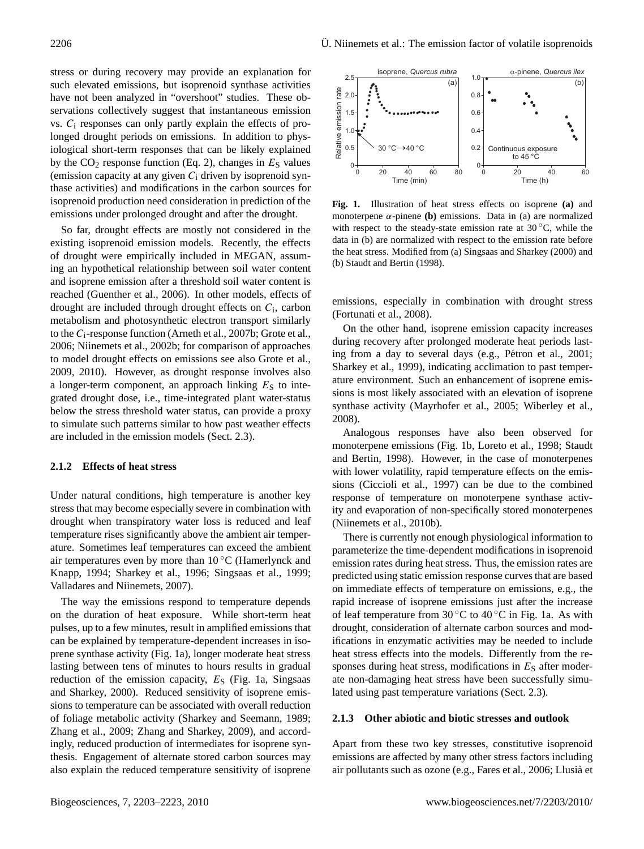stress or during recovery may provide an explanation for such elevated emissions, but isoprenoid synthase activities have not been analyzed in "overshoot" studies. These observations collectively suggest that instantaneous emission vs. C<sup>i</sup> responses can only partly explain the effects of prolonged drought periods on emissions. In addition to physiological short-term responses that can be likely explained by the  $CO_2$  response function (Eq. 2), changes in  $E_S$  values (emission capacity at any given  $C_i$  driven by isoprenoid synthase activities) and modifications in the carbon sources for isoprenoid production need consideration in prediction of the emissions under prolonged drought and after the drought.

So far, drought effects are mostly not considered in the existing isoprenoid emission models. Recently, the effects of drought were empirically included in MEGAN, assuming an hypothetical relationship between soil water content and isoprene emission after a threshold soil water content is reached (Guenther et al., 2006). In other models, effects of drought are included through drought effects on  $C_i$ , carbon metabolism and photosynthetic electron transport similarly to the Ci-response function (Arneth et al., 2007b; Grote et al., 2006; Niinemets et al., 2002b; for comparison of approaches to model drought effects on emissions see also Grote et al., 2009, 2010). However, as drought response involves also a longer-term component, an approach linking  $E<sub>S</sub>$  to integrated drought dose, i.e., time-integrated plant water-status below the stress threshold water status, can provide a proxy to simulate such patterns similar to how past weather effects are included in the emission models (Sect. 2.3).

## **2.1.2 Effects of heat stress**

Under natural conditions, high temperature is another key stress that may become especially severe in combination with drought when transpiratory water loss is reduced and leaf temperature rises significantly above the ambient air temperature. Sometimes leaf temperatures can exceed the ambient air temperatures even by more than  $10\,^{\circ}\text{C}$  (Hamerlynck and Knapp, 1994; Sharkey et al., 1996; Singsaas et al., 1999; Valladares and Niinemets, 2007).

The way the emissions respond to temperature depends on the duration of heat exposure. While short-term heat pulses, up to a few minutes, result in amplified emissions that can be explained by temperature-dependent increases in isoprene synthase activity (Fig. 1a), longer moderate heat stress lasting between tens of minutes to hours results in gradual reduction of the emission capacity,  $E_S$  (Fig. 1a, Singsaas and Sharkey, 2000). Reduced sensitivity of isoprene emissions to temperature can be associated with overall reduction of foliage metabolic activity (Sharkey and Seemann, 1989; Zhang et al., 2009; Zhang and Sharkey, 2009), and accordingly, reduced production of intermediates for isoprene synthesis. Engagement of alternate stored carbon sources may also explain the reduced temperature sensitivity of isoprene



**Fig. 1.** Illustration of heat stress effects on isoprene **(a)** and monoterpene  $\alpha$ -pinene (b) emissions. Data in (a) are normalized with respect to the steady-state emission rate at  $30^{\circ}$ C, while the data in (b) are normalized with respect to the emission rate before the heat stress. Modified from (a) Singsaas and Sharkey (2000) and (b) Staudt and Bertin (1998).

emissions, especially in combination with drought stress (Fortunati et al., 2008).

On the other hand, isoprene emission capacity increases during recovery after prolonged moderate heat periods lasting from a day to several days (e.g., Pétron et al., 2001; Sharkey et al., 1999), indicating acclimation to past temperature environment. Such an enhancement of isoprene emissions is most likely associated with an elevation of isoprene synthase activity (Mayrhofer et al., 2005; Wiberley et al., 2008).

Analogous responses have also been observed for monoterpene emissions (Fig. 1b, Loreto et al., 1998; Staudt and Bertin, 1998). However, in the case of monoterpenes with lower volatility, rapid temperature effects on the emissions (Ciccioli et al., 1997) can be due to the combined response of temperature on monoterpene synthase activity and evaporation of non-specifically stored monoterpenes (Niinemets et al., 2010b).

There is currently not enough physiological information to parameterize the time-dependent modifications in isoprenoid emission rates during heat stress. Thus, the emission rates are predicted using static emission response curves that are based on immediate effects of temperature on emissions, e.g., the rapid increase of isoprene emissions just after the increase of leaf temperature from  $30\,^{\circ}\text{C}$  to  $40\,^{\circ}\text{C}$  in Fig. 1a. As with drought, consideration of alternate carbon sources and modifications in enzymatic activities may be needed to include heat stress effects into the models. Differently from the responses during heat stress, modifications in  $E<sub>S</sub>$  after moderate non-damaging heat stress have been successfully simulated using past temperature variations (Sect. 2.3).

#### **2.1.3 Other abiotic and biotic stresses and outlook**

Apart from these two key stresses, constitutive isoprenoid emissions are affected by many other stress factors including air pollutants such as ozone (e.g., Fares et al., 2006; Llusia et `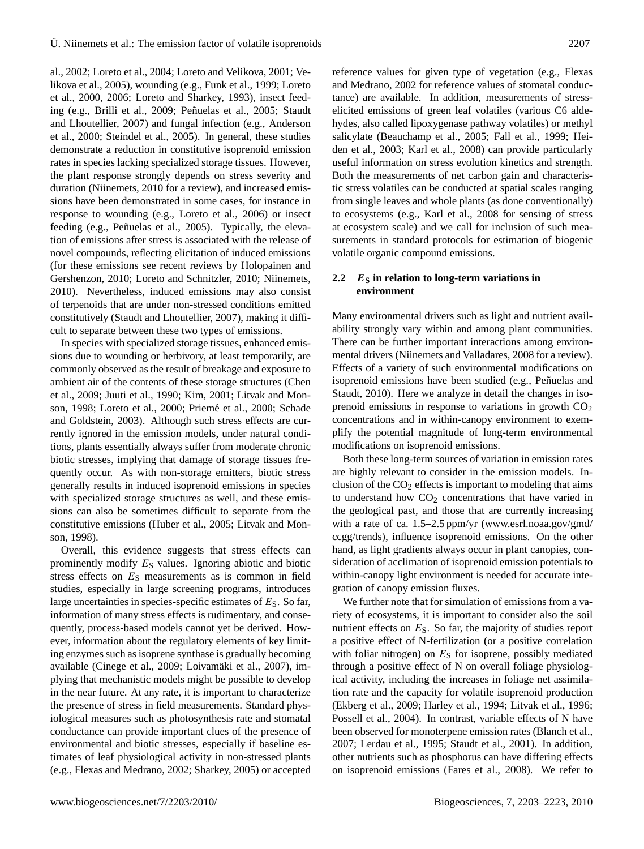al., 2002; Loreto et al., 2004; Loreto and Velikova, 2001; Velikova et al., 2005), wounding (e.g., Funk et al., 1999; Loreto et al., 2000, 2006; Loreto and Sharkey, 1993), insect feeding (e.g., Brilli et al., 2009; Peñuelas et al., 2005; Staudt and Lhoutellier, 2007) and fungal infection (e.g., Anderson et al., 2000; Steindel et al., 2005). In general, these studies demonstrate a reduction in constitutive isoprenoid emission rates in species lacking specialized storage tissues. However, the plant response strongly depends on stress severity and duration (Niinemets, 2010 for a review), and increased emissions have been demonstrated in some cases, for instance in response to wounding (e.g., Loreto et al., 2006) or insect feeding (e.g., Peñuelas et al., 2005). Typically, the elevation of emissions after stress is associated with the release of novel compounds, reflecting elicitation of induced emissions (for these emissions see recent reviews by Holopainen and Gershenzon, 2010; Loreto and Schnitzler, 2010; Niinemets, 2010). Nevertheless, induced emissions may also consist of terpenoids that are under non-stressed conditions emitted constitutively (Staudt and Lhoutellier, 2007), making it difficult to separate between these two types of emissions.

In species with specialized storage tissues, enhanced emissions due to wounding or herbivory, at least temporarily, are commonly observed as the result of breakage and exposure to ambient air of the contents of these storage structures (Chen et al., 2009; Juuti et al., 1990; Kim, 2001; Litvak and Monson, 1998; Loreto et al., 2000; Priemé et al., 2000; Schade and Goldstein, 2003). Although such stress effects are currently ignored in the emission models, under natural conditions, plants essentially always suffer from moderate chronic biotic stresses, implying that damage of storage tissues frequently occur. As with non-storage emitters, biotic stress generally results in induced isoprenoid emissions in species with specialized storage structures as well, and these emissions can also be sometimes difficult to separate from the constitutive emissions (Huber et al., 2005; Litvak and Monson, 1998).

Overall, this evidence suggests that stress effects can prominently modify  $E<sub>S</sub>$  values. Ignoring abiotic and biotic stress effects on  $E<sub>S</sub>$  measurements as is common in field studies, especially in large screening programs, introduces large uncertainties in species-specific estimates of  $E<sub>S</sub>$ . So far, information of many stress effects is rudimentary, and consequently, process-based models cannot yet be derived. However, information about the regulatory elements of key limiting enzymes such as isoprene synthase is gradually becoming available (Cinege et al., 2009; Loivamäki et al., 2007), implying that mechanistic models might be possible to develop in the near future. At any rate, it is important to characterize the presence of stress in field measurements. Standard physiological measures such as photosynthesis rate and stomatal conductance can provide important clues of the presence of environmental and biotic stresses, especially if baseline estimates of leaf physiological activity in non-stressed plants (e.g., Flexas and Medrano, 2002; Sharkey, 2005) or accepted reference values for given type of vegetation (e.g., Flexas and Medrano, 2002 for reference values of stomatal conductance) are available. In addition, measurements of stresselicited emissions of green leaf volatiles (various C6 aldehydes, also called lipoxygenase pathway volatiles) or methyl salicylate (Beauchamp et al., 2005; Fall et al., 1999; Heiden et al., 2003; Karl et al., 2008) can provide particularly useful information on stress evolution kinetics and strength. Both the measurements of net carbon gain and characteristic stress volatiles can be conducted at spatial scales ranging from single leaves and whole plants (as done conventionally) to ecosystems (e.g., Karl et al., 2008 for sensing of stress at ecosystem scale) and we call for inclusion of such measurements in standard protocols for estimation of biogenic volatile organic compound emissions.

## **2.2** E**<sup>S</sup> in relation to long-term variations in environment**

Many environmental drivers such as light and nutrient availability strongly vary within and among plant communities. There can be further important interactions among environmental drivers (Niinemets and Valladares, 2008 for a review). Effects of a variety of such environmental modifications on isoprenoid emissions have been studied (e.g., Peñuelas and Staudt, 2010). Here we analyze in detail the changes in isoprenoid emissions in response to variations in growth  $CO<sub>2</sub>$ concentrations and in within-canopy environment to exemplify the potential magnitude of long-term environmental modifications on isoprenoid emissions.

Both these long-term sources of variation in emission rates are highly relevant to consider in the emission models. Inclusion of the  $CO<sub>2</sub>$  effects is important to modeling that aims to understand how  $CO<sub>2</sub>$  concentrations that have varied in the geological past, and those that are currently increasing with a rate of ca. 1.5–2.5 ppm/yr [\(www.esrl.noaa.gov/gmd/](www.esrl.noaa.gov/gmd/ccgg/trends) [ccgg/trends\)](www.esrl.noaa.gov/gmd/ccgg/trends), influence isoprenoid emissions. On the other hand, as light gradients always occur in plant canopies, consideration of acclimation of isoprenoid emission potentials to within-canopy light environment is needed for accurate integration of canopy emission fluxes.

We further note that for simulation of emissions from a variety of ecosystems, it is important to consider also the soil nutrient effects on  $E<sub>S</sub>$ . So far, the majority of studies report a positive effect of N-fertilization (or a positive correlation with foliar nitrogen) on  $E<sub>S</sub>$  for isoprene, possibly mediated through a positive effect of N on overall foliage physiological activity, including the increases in foliage net assimilation rate and the capacity for volatile isoprenoid production (Ekberg et al., 2009; Harley et al., 1994; Litvak et al., 1996; Possell et al., 2004). In contrast, variable effects of N have been observed for monoterpene emission rates (Blanch et al., 2007; Lerdau et al., 1995; Staudt et al., 2001). In addition, other nutrients such as phosphorus can have differing effects on isoprenoid emissions (Fares et al., 2008). We refer to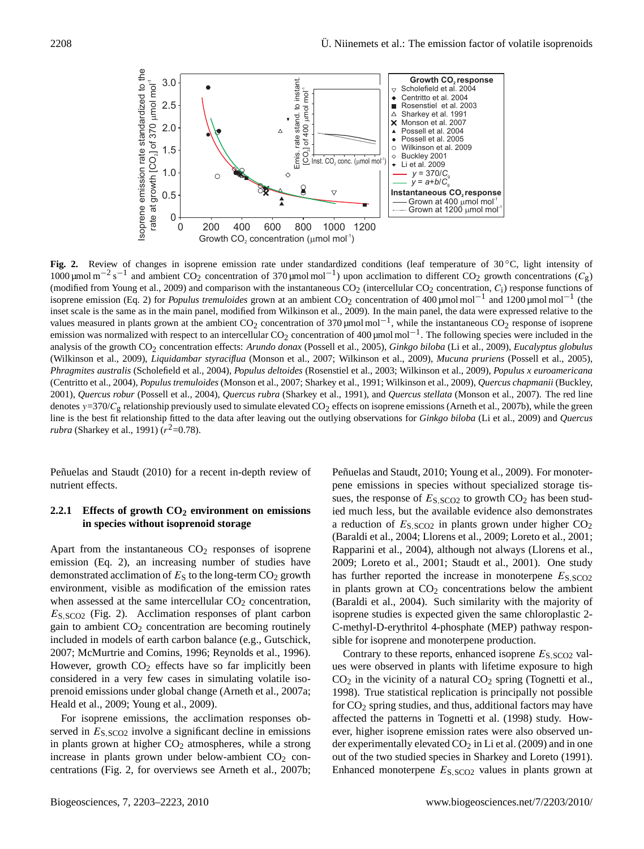

**Fig. 2.** Review of changes in isoprene emission rate under standardized conditions (leaf temperature of 30 °C, light intensity of 1000 μmol m<sup>-2</sup> s<sup>-1</sup> and ambient CO<sub>2</sub> concentration of 370 μmol mol<sup>-1</sup>) upon acclimation to different CO<sub>2</sub> growth concentrations (C<sub>g</sub>) (modified from Young et al., 2009) and comparison with the instantaneous  $CO_2$  (intercellular  $CO_2$  concentration,  $C_1$ ) response functions of isoprene emission (Eq. 2) for *Populus tremuloides* grown at an ambient CO<sub>2</sub> concentration of 400 μmol mol<sup>-1</sup> and 1200 μmol mol<sup>-1</sup> (the inset scale is the same as in the main panel, modified from Wilkinson et al., 2009). In the main panel, the data were expressed relative to the values measured in plants grown at the ambient  $CO_2$  concentration of 370 µmol mol<sup>-1</sup>, while the instantaneous  $CO_2$  response of isoprene emission was normalized with respect to an intercellular CO<sub>2</sub> concentration of 400 µmol mol<sup>-1</sup>. The following species were included in the analysis of the growth CO2 concentration effects: *Arundo donax* (Possell et al., 2005), *Ginkgo biloba* (Li et al., 2009), *Eucalyptus globulus* (Wilkinson et al., 2009), *Liquidambar styraciflua* (Monson et al., 2007; Wilkinson et al., 2009), *Mucuna pruriens* (Possell et al., 2005), *Phragmites australis* (Scholefield et al., 2004), *Populus deltoides* (Rosenstiel et al., 2003; Wilkinson et al., 2009), *Populus x euroamericana* (Centritto et al., 2004), *Populus tremuloides* (Monson et al., 2007; Sharkey et al., 1991; Wilkinson et al., 2009), *Quercus chapmanii* (Buckley, 2001), *Quercus robur* (Possell et al., 2004), *Quercus rubra* (Sharkey et al., 1991), and *Quercus stellata* (Monson et al., 2007). The red line denotes  $y=370/C_g$  relationship previously used to simulate elevated CO<sub>2</sub> effects on isoprene emissions (Arneth et al., 2007b), while the green line is the best fit relationship fitted to the data after leaving out the outlying observations for *Ginkgo biloba* (Li et al., 2009) and *Quercus rubra* (Sharkey et al., 1991) ( $r^2$ =0.78).

Peñuelas and Staudt (2010) for a recent in-depth review of nutrient effects.

# **2.2.1 Effects of growth CO<sup>2</sup> environment on emissions in species without isoprenoid storage**

Apart from the instantaneous  $CO<sub>2</sub>$  responses of isoprene emission (Eq. 2), an increasing number of studies have demonstrated acclimation of  $E<sub>S</sub>$  to the long-term  $CO<sub>2</sub>$  growth environment, visible as modification of the emission rates when assessed at the same intercellular  $CO<sub>2</sub>$  concentration,  $E_{S,SCO2}$  (Fig. 2). Acclimation responses of plant carbon gain to ambient  $CO<sub>2</sub>$  concentration are becoming routinely included in models of earth carbon balance (e.g., Gutschick, 2007; McMurtrie and Comins, 1996; Reynolds et al., 1996). However, growth  $CO<sub>2</sub>$  effects have so far implicitly been considered in a very few cases in simulating volatile isoprenoid emissions under global change (Arneth et al., 2007a; Heald et al., 2009; Young et al., 2009).

For isoprene emissions, the acclimation responses observed in  $E_{S,SCO2}$  involve a significant decline in emissions in plants grown at higher  $CO<sub>2</sub>$  atmospheres, while a strong increase in plants grown under below-ambient  $CO<sub>2</sub>$  concentrations (Fig. 2, for overviews see Arneth et al., 2007b;

Peñuelas and Staudt, 2010; Young et al., 2009). For monoterpene emissions in species without specialized storage tissues, the response of  $E_{S,SCO2}$  to growth  $CO<sub>2</sub>$  has been studied much less, but the available evidence also demonstrates a reduction of  $E_{S,SCO2}$  in plants grown under higher  $CO<sub>2</sub>$ (Baraldi et al., 2004; Llorens et al., 2009; Loreto et al., 2001; Rapparini et al., 2004), although not always (Llorens et al., 2009; Loreto et al., 2001; Staudt et al., 2001). One study has further reported the increase in monoterpene  $E_{S,SCO2}$ in plants grown at  $CO<sub>2</sub>$  concentrations below the ambient (Baraldi et al., 2004). Such similarity with the majority of isoprene studies is expected given the same chloroplastic 2- C-methyl-D-erythritol 4-phosphate (MEP) pathway responsible for isoprene and monoterpene production.

Contrary to these reports, enhanced isoprene  $E_{S,SCO2}$  values were observed in plants with lifetime exposure to high  $CO<sub>2</sub>$  in the vicinity of a natural  $CO<sub>2</sub>$  spring (Tognetti et al., 1998). True statistical replication is principally not possible for CO<sub>2</sub> spring studies, and thus, additional factors may have affected the patterns in Tognetti et al. (1998) study. However, higher isoprene emission rates were also observed under experimentally elevated  $CO<sub>2</sub>$  in Li et al. (2009) and in one out of the two studied species in Sharkey and Loreto (1991). Enhanced monoterpene  $E_{S,SCO2}$  values in plants grown at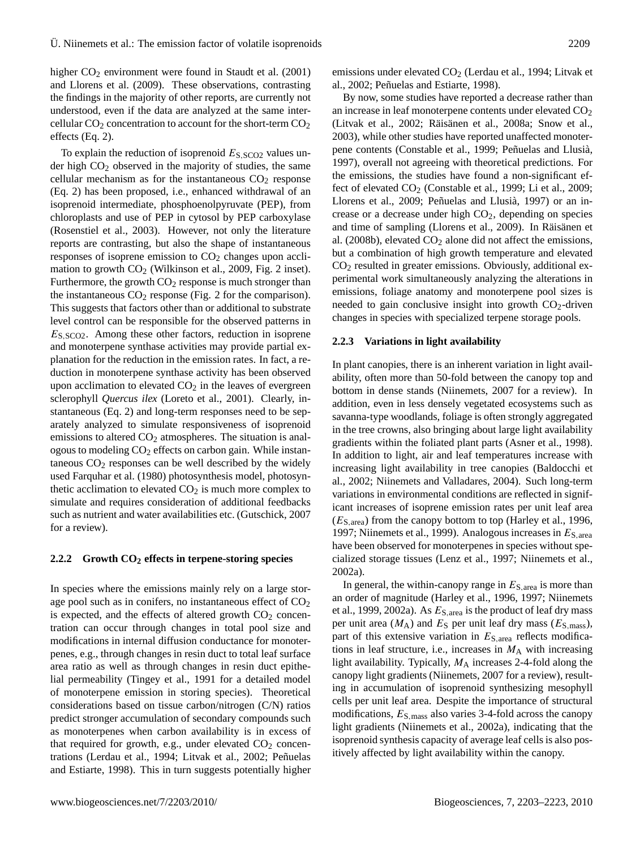higher CO<sub>2</sub> environment were found in Staudt et al. (2001) and Llorens et al. (2009). These observations, contrasting the findings in the majority of other reports, are currently not understood, even if the data are analyzed at the same intercellular  $CO<sub>2</sub>$  concentration to account for the short-term  $CO<sub>2</sub>$ effects (Eq. 2).

To explain the reduction of isoprenoid  $E_{S,SCO2}$  values under high  $CO<sub>2</sub>$  observed in the majority of studies, the same cellular mechanism as for the instantaneous  $CO<sub>2</sub>$  response (Eq. 2) has been proposed, i.e., enhanced withdrawal of an isoprenoid intermediate, phosphoenolpyruvate (PEP), from chloroplasts and use of PEP in cytosol by PEP carboxylase (Rosenstiel et al., 2003). However, not only the literature reports are contrasting, but also the shape of instantaneous responses of isoprene emission to  $CO<sub>2</sub>$  changes upon acclimation to growth  $CO<sub>2</sub>$  (Wilkinson et al., 2009, Fig. 2 inset). Furthermore, the growth  $CO<sub>2</sub>$  response is much stronger than the instantaneous  $CO<sub>2</sub>$  response (Fig. 2 for the comparison). This suggests that factors other than or additional to substrate level control can be responsible for the observed patterns in  $E_{S,SCO2}$ . Among these other factors, reduction in isoprene and monoterpene synthase activities may provide partial explanation for the reduction in the emission rates. In fact, a reduction in monoterpene synthase activity has been observed upon acclimation to elevated  $CO<sub>2</sub>$  in the leaves of evergreen sclerophyll *Quercus ilex* (Loreto et al., 2001). Clearly, instantaneous (Eq. 2) and long-term responses need to be separately analyzed to simulate responsiveness of isoprenoid emissions to altered  $CO<sub>2</sub>$  atmospheres. The situation is analogous to modeling CO<sub>2</sub> effects on carbon gain. While instantaneous  $CO<sub>2</sub>$  responses can be well described by the widely used Farquhar et al. (1980) photosynthesis model, photosynthetic acclimation to elevated  $CO<sub>2</sub>$  is much more complex to simulate and requires consideration of additional feedbacks such as nutrient and water availabilities etc. (Gutschick, 2007 for a review).

#### **2.2.2 Growth CO<sup>2</sup> effects in terpene-storing species**

In species where the emissions mainly rely on a large storage pool such as in conifers, no instantaneous effect of  $CO<sub>2</sub>$ is expected, and the effects of altered growth  $CO<sub>2</sub>$  concentration can occur through changes in total pool size and modifications in internal diffusion conductance for monoterpenes, e.g., through changes in resin duct to total leaf surface area ratio as well as through changes in resin duct epithelial permeability (Tingey et al., 1991 for a detailed model of monoterpene emission in storing species). Theoretical considerations based on tissue carbon/nitrogen (C/N) ratios predict stronger accumulation of secondary compounds such as monoterpenes when carbon availability is in excess of that required for growth, e.g., under elevated  $CO<sub>2</sub>$  concentrations (Lerdau et al., 1994; Litvak et al., 2002; Peñuelas and Estiarte, 1998). This in turn suggests potentially higher

emissions under elevated CO<sub>2</sub> (Lerdau et al., 1994; Litvak et al., 2002; Peñuelas and Estiarte, 1998).

By now, some studies have reported a decrease rather than an increase in leaf monoterpene contents under elevated  $CO<sub>2</sub>$ (Litvak et al., 2002; Räisänen et al., 2008a; Snow et al., 2003), while other studies have reported unaffected monoterpene contents (Constable et al., 1999; Peñuelas and Llusià, 1997), overall not agreeing with theoretical predictions. For the emissions, the studies have found a non-significant effect of elevated  $CO<sub>2</sub>$  (Constable et al., 1999; Li et al., 2009; Llorens et al., 2009; Peñuelas and Llusià, 1997) or an increase or a decrease under high  $CO<sub>2</sub>$ , depending on species and time of sampling (Llorens et al., 2009). In Räisänen et al. (2008b), elevated  $CO<sub>2</sub>$  alone did not affect the emissions, but a combination of high growth temperature and elevated  $CO<sub>2</sub>$  resulted in greater emissions. Obviously, additional experimental work simultaneously analyzing the alterations in emissions, foliage anatomy and monoterpene pool sizes is needed to gain conclusive insight into growth  $CO<sub>2</sub>$ -driven changes in species with specialized terpene storage pools.

#### **2.2.3 Variations in light availability**

In plant canopies, there is an inherent variation in light availability, often more than 50-fold between the canopy top and bottom in dense stands (Niinemets, 2007 for a review). In addition, even in less densely vegetated ecosystems such as savanna-type woodlands, foliage is often strongly aggregated in the tree crowns, also bringing about large light availability gradients within the foliated plant parts (Asner et al., 1998). In addition to light, air and leaf temperatures increase with increasing light availability in tree canopies (Baldocchi et al., 2002; Niinemets and Valladares, 2004). Such long-term variations in environmental conditions are reflected in significant increases of isoprene emission rates per unit leaf area  $(E_{S,area})$  from the canopy bottom to top (Harley et al., 1996, 1997; Niinemets et al., 1999). Analogous increases in  $E_{\rm S, area}$ have been observed for monoterpenes in species without specialized storage tissues (Lenz et al., 1997; Niinemets et al., 2002a).

In general, the within-canopy range in  $E_{\rm S, area}$  is more than an order of magnitude (Harley et al., 1996, 1997; Niinemets et al., 1999, 2002a). As  $E_{\rm S, area}$  is the product of leaf dry mass per unit area  $(M_A)$  and  $E_S$  per unit leaf dry mass  $(E_{S,\text{mass}})$ , part of this extensive variation in  $E_{\rm S, area}$  reflects modifications in leaf structure, i.e., increases in  $M_A$  with increasing light availability. Typically,  $M_A$  increases 2-4-fold along the canopy light gradients (Niinemets, 2007 for a review), resulting in accumulation of isoprenoid synthesizing mesophyll cells per unit leaf area. Despite the importance of structural modifications,  $E_{\rm S, mass}$  also varies 3-4-fold across the canopy light gradients (Niinemets et al., 2002a), indicating that the isoprenoid synthesis capacity of average leaf cells is also positively affected by light availability within the canopy.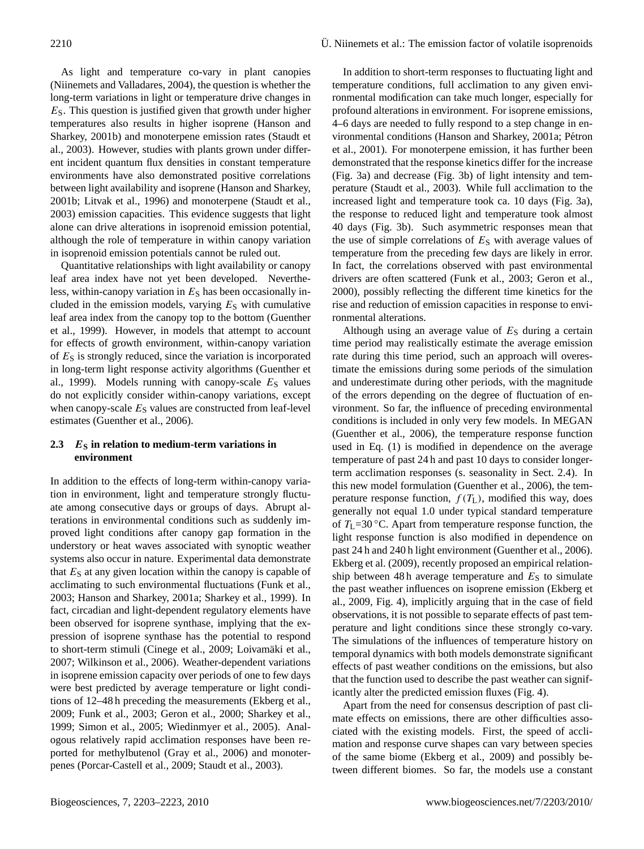As light and temperature co-vary in plant canopies (Niinemets and Valladares, 2004), the question is whether the long-term variations in light or temperature drive changes in  $E<sub>S</sub>$ . This question is justified given that growth under higher temperatures also results in higher isoprene (Hanson and Sharkey, 2001b) and monoterpene emission rates (Staudt et al., 2003). However, studies with plants grown under differ-

ent incident quantum flux densities in constant temperature environments have also demonstrated positive correlations between light availability and isoprene (Hanson and Sharkey, 2001b; Litvak et al., 1996) and monoterpene (Staudt et al., 2003) emission capacities. This evidence suggests that light alone can drive alterations in isoprenoid emission potential, although the role of temperature in within canopy variation in isoprenoid emission potentials cannot be ruled out.

Quantitative relationships with light availability or canopy leaf area index have not yet been developed. Nevertheless, within-canopy variation in  $E<sub>S</sub>$  has been occasionally included in the emission models, varying  $E<sub>S</sub>$  with cumulative leaf area index from the canopy top to the bottom (Guenther et al., 1999). However, in models that attempt to account for effects of growth environment, within-canopy variation of  $E<sub>S</sub>$  is strongly reduced, since the variation is incorporated in long-term light response activity algorithms (Guenther et al., 1999). Models running with canopy-scale  $E<sub>S</sub>$  values do not explicitly consider within-canopy variations, except when canopy-scale  $E<sub>S</sub>$  values are constructed from leaf-level estimates (Guenther et al., 2006).

# **2.3** E**<sup>S</sup> in relation to medium-term variations in environment**

In addition to the effects of long-term within-canopy variation in environment, light and temperature strongly fluctuate among consecutive days or groups of days. Abrupt alterations in environmental conditions such as suddenly improved light conditions after canopy gap formation in the understory or heat waves associated with synoptic weather systems also occur in nature. Experimental data demonstrate that  $E<sub>S</sub>$  at any given location within the canopy is capable of acclimating to such environmental fluctuations (Funk et al., 2003; Hanson and Sharkey, 2001a; Sharkey et al., 1999). In fact, circadian and light-dependent regulatory elements have been observed for isoprene synthase, implying that the expression of isoprene synthase has the potential to respond to short-term stimuli (Cinege et al., 2009; Loivamäki et al., 2007; Wilkinson et al., 2006). Weather-dependent variations in isoprene emission capacity over periods of one to few days were best predicted by average temperature or light conditions of 12–48 h preceding the measurements (Ekberg et al., 2009; Funk et al., 2003; Geron et al., 2000; Sharkey et al., 1999; Simon et al., 2005; Wiedinmyer et al., 2005). Analogous relatively rapid acclimation responses have been reported for methylbutenol (Gray et al., 2006) and monoterpenes (Porcar-Castell et al., 2009; Staudt et al., 2003).

In addition to short-term responses to fluctuating light and temperature conditions, full acclimation to any given environmental modification can take much longer, especially for profound alterations in environment. For isoprene emissions, 4–6 days are needed to fully respond to a step change in environmental conditions (Hanson and Sharkey, 2001a; Pétron et al., 2001). For monoterpene emission, it has further been demonstrated that the response kinetics differ for the increase (Fig. 3a) and decrease (Fig. 3b) of light intensity and temperature (Staudt et al., 2003). While full acclimation to the increased light and temperature took ca. 10 days (Fig. 3a), the response to reduced light and temperature took almost 40 days (Fig. 3b). Such asymmetric responses mean that the use of simple correlations of  $E<sub>S</sub>$  with average values of temperature from the preceding few days are likely in error. In fact, the correlations observed with past environmental drivers are often scattered (Funk et al., 2003; Geron et al., 2000), possibly reflecting the different time kinetics for the

rise and reduction of emission capacities in response to envi-

ronmental alterations. Although using an average value of  $E<sub>S</sub>$  during a certain time period may realistically estimate the average emission rate during this time period, such an approach will overestimate the emissions during some periods of the simulation and underestimate during other periods, with the magnitude of the errors depending on the degree of fluctuation of environment. So far, the influence of preceding environmental conditions is included in only very few models. In MEGAN (Guenther et al., 2006), the temperature response function used in Eq. (1) is modified in dependence on the average temperature of past 24 h and past 10 days to consider longerterm acclimation responses (s. seasonality in Sect. 2.4). In this new model formulation (Guenther et al., 2006), the temperature response function,  $f(T_L)$ , modified this way, does generally not equal 1.0 under typical standard temperature of  $T_L$ =30 °C. Apart from temperature response function, the light response function is also modified in dependence on past 24 h and 240 h light environment (Guenther et al., 2006). Ekberg et al. (2009), recently proposed an empirical relationship between 48 h average temperature and  $E<sub>S</sub>$  to simulate the past weather influences on isoprene emission (Ekberg et al., 2009, Fig. 4), implicitly arguing that in the case of field observations, it is not possible to separate effects of past temperature and light conditions since these strongly co-vary. The simulations of the influences of temperature history on temporal dynamics with both models demonstrate significant effects of past weather conditions on the emissions, but also that the function used to describe the past weather can significantly alter the predicted emission fluxes (Fig. 4).

Apart from the need for consensus description of past climate effects on emissions, there are other difficulties associated with the existing models. First, the speed of acclimation and response curve shapes can vary between species of the same biome (Ekberg et al., 2009) and possibly between different biomes. So far, the models use a constant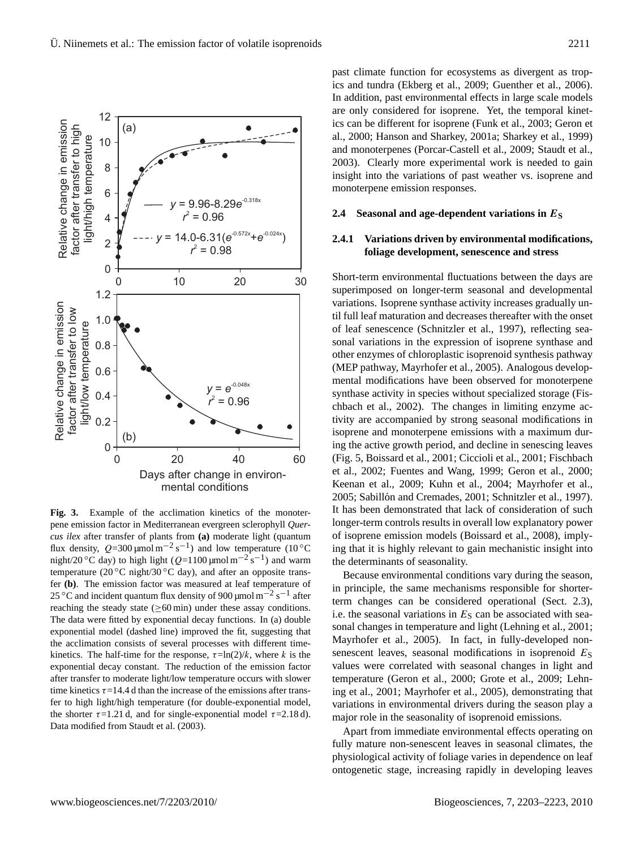

Fig. 3. Example of the acclimation kinetics of the monoterpene emission factor in Mediterranean evergreen sclerophyll *Quercus ilex* after transfer of plants from **(a)** moderate light (quantum flux density,  $Q=300 \mu m^2 s^{-1}$  and low temperature (10 °C might/20 °C day) to high light ( $Q=1100 \mu$ mol m<sup>-2</sup>s<sup>-1</sup>) and warm temperature (20 $\rm{^{\circ}C}$  night/30 $\rm{^{\circ}C}$  day), and after an opposite transfer **(b)**. The emission factor was measured at leaf temperature of 25 °C and incident quantum flux density of 900 µmol m<sup>-2</sup> s<sup>-1</sup> after reaching the steady state  $(≥60 \text{ min})$  under these assay conditions. The data were fitted by exponential decay functions. In (a) double exponential model (dashed line) improved the fit, suggesting that the acclimation consists of several processes with different timekinetics. The half-time for the response,  $\tau = \ln(2)/k$ , where k is the exponential decay constant. The reduction of the emission factor after transfer to moderate light/low temperature occurs with slower time kinetics  $\tau$ =14.4 d than the increase of the emissions after transfer to high light/high temperature (for double-exponential model, the shorter  $\tau$ =1.21 d, and for single-exponential model  $\tau$ =2.18 d). Data modified from Staudt et al. (2003).

past climate function for ecosystems as divergent as tropics and tundra (Ekberg et al., 2009; Guenther et al., 2006). In addition, past environmental effects in large scale models are only considered for isoprene. Yet, the temporal kinetics can be different for isoprene (Funk et al., 2003; Geron et al., 2000; Hanson and Sharkey, 2001a; Sharkey et al., 1999) and monoterpenes (Porcar-Castell et al., 2009; Staudt et al., 2003). Clearly more experimental work is needed to gain insight into the variations of past weather vs. isoprene and monoterpene emission responses.

#### **2.4 Seasonal and age-dependent variations in** E**<sup>S</sup>**

## **2.4.1 Variations driven by environmental modifications, foliage development, senescence and stress**

Short-term environmental fluctuations between the days are superimposed on longer-term seasonal and developmental variations. Isoprene synthase activity increases gradually until full leaf maturation and decreases thereafter with the onset of leaf senescence (Schnitzler et al., 1997), reflecting seasonal variations in the expression of isoprene synthase and other enzymes of chloroplastic isoprenoid synthesis pathway (MEP pathway, Mayrhofer et al., 2005). Analogous developmental modifications have been observed for monoterpene synthase activity in species without specialized storage (Fischbach et al., 2002). The changes in limiting enzyme activity are accompanied by strong seasonal modifications in isoprene and monoterpene emissions with a maximum during the active growth period, and decline in senescing leaves (Fig. 5, Boissard et al., 2001; Ciccioli et al., 2001; Fischbach et al., 2002; Fuentes and Wang, 1999; Geron et al., 2000; Keenan et al., 2009; Kuhn et al., 2004; Mayrhofer et al., 2005; Sabillón and Cremades, 2001; Schnitzler et al., 1997). It has been demonstrated that lack of consideration of such longer-term controls results in overall low explanatory power of isoprene emission models (Boissard et al., 2008), implying that it is highly relevant to gain mechanistic insight into the determinants of seasonality.

Because environmental conditions vary during the season, in principle, the same mechanisms responsible for shorterterm changes can be considered operational (Sect. 2.3), i.e. the seasonal variations in  $E<sub>S</sub>$  can be associated with seasonal changes in temperature and light (Lehning et al., 2001; Mayrhofer et al., 2005). In fact, in fully-developed nonsenescent leaves, seasonal modifications in isoprenoid  $E<sub>S</sub>$ values were correlated with seasonal changes in light and temperature (Geron et al., 2000; Grote et al., 2009; Lehning et al., 2001; Mayrhofer et al., 2005), demonstrating that variations in environmental drivers during the season play a major role in the seasonality of isoprenoid emissions.

Apart from immediate environmental effects operating on fully mature non-senescent leaves in seasonal climates, the physiological activity of foliage varies in dependence on leaf ontogenetic stage, increasing rapidly in developing leaves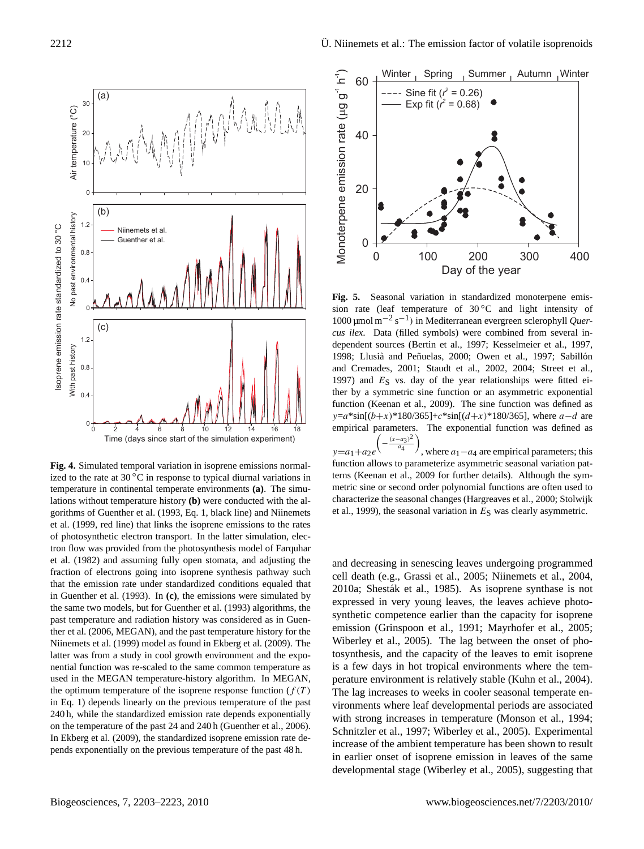

**Fig. 4.** Simulated temporal variation in isoprene emissions normalized to the rate at  $30\,^{\circ}\text{C}$  in response to typical diurnal variations in temperature in continental temperate environments **(a)**. The simulations without temperature history **(b)** were conducted with the algorithms of Guenther et al. (1993, Eq. 1, black line) and Niinemets et al. (1999, red line) that links the isoprene emissions to the rates of photosynthetic electron transport. In the latter simulation, electron flow was provided from the photosynthesis model of Farquhar et al. (1982) and assuming fully open stomata, and adjusting the fraction of electrons going into isoprene synthesis pathway such that the emission rate under standardized conditions equaled that in Guenther et al. (1993). In **(c)**, the emissions were simulated by the same two models, but for Guenther et al. (1993) algorithms, the past temperature and radiation history was considered as in Guenther et al. (2006, MEGAN), and the past temperature history for the Niinemets et al. (1999) model as found in Ekberg et al. (2009). The latter was from a study in cool growth environment and the exponential function was re-scaled to the same common temperature as used in the MEGAN temperature-history algorithm. In MEGAN, the optimum temperature of the isoprene response function  $(f(T))$ in Eq. 1) depends linearly on the previous temperature of the past 240 h, while the standardized emission rate depends exponentially on the temperature of the past 24 and 240 h (Guenther et al., 2006). In Ekberg et al. (2009), the standardized isoprene emission rate depends exponentially on the previous temperature of the past 48 h.



**Fig. 5.** Seasonal variation in standardized monoterpene emission rate (leaf temperature of  $30^{\circ}$ C and light intensity of 1000 µmol m−<sup>2</sup> s −1 ) in Mediterranean evergreen sclerophyll *Quercus ilex*. Data (filled symbols) were combined from several independent sources (Bertin et al., 1997; Kesselmeier et al., 1997, 1998; Llusià and Peñuelas, 2000; Owen et al., 1997; Sabillón and Cremades, 2001; Staudt et al., 2002, 2004; Street et al., 1997) and  $E<sub>S</sub>$  vs. day of the year relationships were fitted either by a symmetric sine function or an asymmetric exponential function (Keenan et al., 2009). The sine function was defined as y=a\*sin[(b+x)\*180/365]+c\*sin[(d+x)\*180/365], where a−d are empirical parameters. The exponential function was defined as  $y=a_1+a_2e$  $\sqrt{2}$ −  $(x-a_3)^2$  $a_4$  $\lambda$ , where  $a_1 - a_4$  are empirical parameters; this

function allows to parameterize asymmetric seasonal variation patterns (Keenan et al., 2009 for further details). Although the symmetric sine or second order polynomial functions are often used to characterize the seasonal changes (Hargreaves et al., 2000; Stolwijk et al., 1999), the seasonal variation in  $E<sub>S</sub>$  was clearly asymmetric.

and decreasing in senescing leaves undergoing programmed cell death (e.g., Grassi et al., 2005; Niinemets et al., 2004, 2010a; Shesták et al., 1985). As isoprene synthase is not expressed in very young leaves, the leaves achieve photosynthetic competence earlier than the capacity for isoprene emission (Grinspoon et al., 1991; Mayrhofer et al., 2005; Wiberley et al., 2005). The lag between the onset of photosynthesis, and the capacity of the leaves to emit isoprene is a few days in hot tropical environments where the temperature environment is relatively stable (Kuhn et al., 2004). The lag increases to weeks in cooler seasonal temperate environments where leaf developmental periods are associated with strong increases in temperature (Monson et al., 1994; Schnitzler et al., 1997; Wiberley et al., 2005). Experimental increase of the ambient temperature has been shown to result in earlier onset of isoprene emission in leaves of the same developmental stage (Wiberley et al., 2005), suggesting that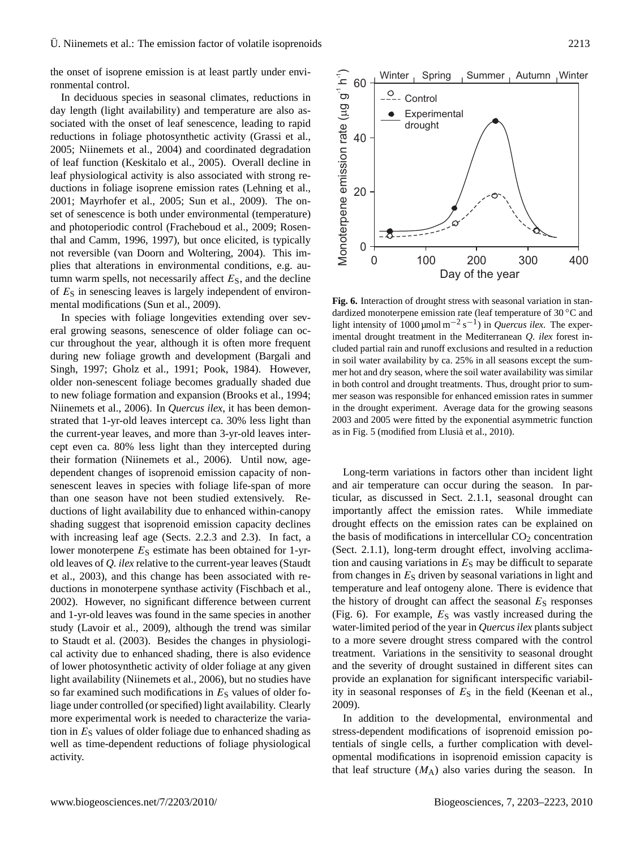the onset of isoprene emission is at least partly under environmental control.

In deciduous species in seasonal climates, reductions in day length (light availability) and temperature are also associated with the onset of leaf senescence, leading to rapid reductions in foliage photosynthetic activity (Grassi et al., 2005; Niinemets et al., 2004) and coordinated degradation of leaf function (Keskitalo et al., 2005). Overall decline in leaf physiological activity is also associated with strong reductions in foliage isoprene emission rates (Lehning et al., 2001; Mayrhofer et al., 2005; Sun et al., 2009). The onset of senescence is both under environmental (temperature) and photoperiodic control (Fracheboud et al., 2009; Rosenthal and Camm, 1996, 1997), but once elicited, is typically not reversible (van Doorn and Woltering, 2004). This implies that alterations in environmental conditions, e.g. autumn warm spells, not necessarily affect  $E<sub>S</sub>$ , and the decline of  $E<sub>S</sub>$  in senescing leaves is largely independent of environmental modifications (Sun et al., 2009).

In species with foliage longevities extending over several growing seasons, senescence of older foliage can occur throughout the year, although it is often more frequent during new foliage growth and development (Bargali and Singh, 1997; Gholz et al., 1991; Pook, 1984). However, older non-senescent foliage becomes gradually shaded due to new foliage formation and expansion (Brooks et al., 1994; Niinemets et al., 2006). In *Quercus ilex*, it has been demonstrated that 1-yr-old leaves intercept ca. 30% less light than the current-year leaves, and more than 3-yr-old leaves intercept even ca. 80% less light than they intercepted during their formation (Niinemets et al., 2006). Until now, agedependent changes of isoprenoid emission capacity of nonsenescent leaves in species with foliage life-span of more than one season have not been studied extensively. Reductions of light availability due to enhanced within-canopy shading suggest that isoprenoid emission capacity declines with increasing leaf age (Sects. 2.2.3 and 2.3). In fact, a lower monoterpene  $E<sub>S</sub>$  estimate has been obtained for 1-yrold leaves of *Q. ilex* relative to the current-year leaves (Staudt et al., 2003), and this change has been associated with reductions in monoterpene synthase activity (Fischbach et al., 2002). However, no significant difference between current and 1-yr-old leaves was found in the same species in another study (Lavoir et al., 2009), although the trend was similar to Staudt et al. (2003). Besides the changes in physiological activity due to enhanced shading, there is also evidence of lower photosynthetic activity of older foliage at any given light availability (Niinemets et al., 2006), but no studies have so far examined such modifications in  $E<sub>S</sub>$  values of older foliage under controlled (or specified) light availability. Clearly more experimental work is needed to characterize the variation in  $E<sub>S</sub>$  values of older foliage due to enhanced shading as well as time-dependent reductions of foliage physiological activity.



**Fig. 6.** Interaction of drought stress with seasonal variation in standardized monoterpene emission rate (leaf temperature of 30 ◦C and light intensity of  $1000 \mu$ mol m<sup>-2</sup>s<sup>-1</sup>) in *Quercus ilex*. The experimental drought treatment in the Mediterranean *Q. ilex* forest included partial rain and runoff exclusions and resulted in a reduction in soil water availability by ca. 25% in all seasons except the summer hot and dry season, where the soil water availability was similar in both control and drought treatments. Thus, drought prior to summer season was responsible for enhanced emission rates in summer in the drought experiment. Average data for the growing seasons 2003 and 2005 were fitted by the exponential asymmetric function as in Fig. 5 (modified from Llusia et al., 2010). `

Long-term variations in factors other than incident light and air temperature can occur during the season. In particular, as discussed in Sect. 2.1.1, seasonal drought can importantly affect the emission rates. While immediate drought effects on the emission rates can be explained on the basis of modifications in intercellular  $CO<sub>2</sub>$  concentration (Sect. 2.1.1), long-term drought effect, involving acclimation and causing variations in  $E<sub>S</sub>$  may be difficult to separate from changes in  $E<sub>S</sub>$  driven by seasonal variations in light and temperature and leaf ontogeny alone. There is evidence that the history of drought can affect the seasonal  $E<sub>S</sub>$  responses (Fig. 6). For example,  $E<sub>S</sub>$  was vastly increased during the water-limited period of the year in *Quercus ilex* plants subject to a more severe drought stress compared with the control treatment. Variations in the sensitivity to seasonal drought and the severity of drought sustained in different sites can provide an explanation for significant interspecific variability in seasonal responses of  $E<sub>S</sub>$  in the field (Keenan et al., 2009).

In addition to the developmental, environmental and stress-dependent modifications of isoprenoid emission potentials of single cells, a further complication with developmental modifications in isoprenoid emission capacity is that leaf structure  $(M_A)$  also varies during the season. In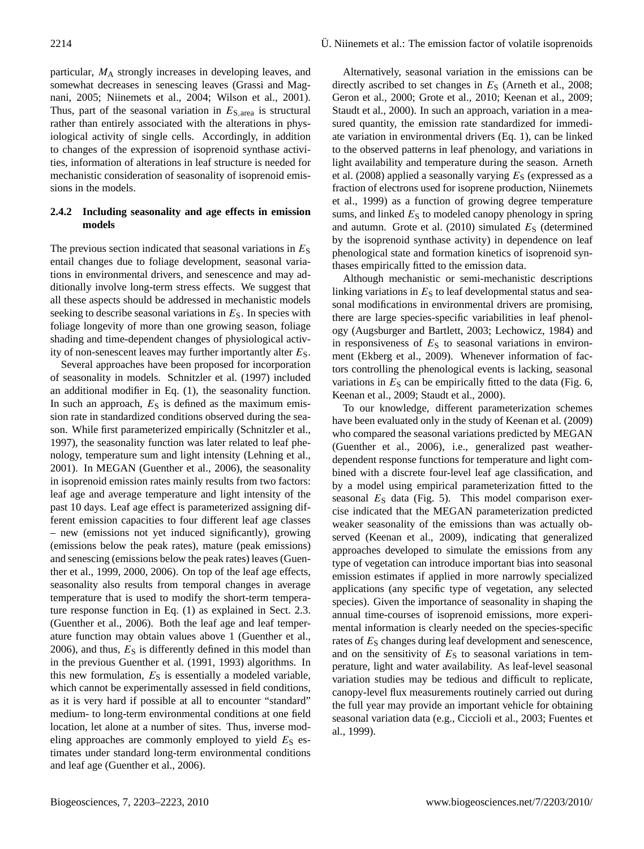particular,  $M_A$  strongly increases in developing leaves, and somewhat decreases in senescing leaves (Grassi and Magnani, 2005; Niinemets et al., 2004; Wilson et al., 2001). Thus, part of the seasonal variation in  $E_{\rm S, area}$  is structural rather than entirely associated with the alterations in physiological activity of single cells. Accordingly, in addition to changes of the expression of isoprenoid synthase activities, information of alterations in leaf structure is needed for mechanistic consideration of seasonality of isoprenoid emissions in the models.

# **2.4.2 Including seasonality and age effects in emission models**

The previous section indicated that seasonal variations in  $E<sub>S</sub>$ entail changes due to foliage development, seasonal variations in environmental drivers, and senescence and may additionally involve long-term stress effects. We suggest that all these aspects should be addressed in mechanistic models seeking to describe seasonal variations in  $E<sub>S</sub>$ . In species with foliage longevity of more than one growing season, foliage shading and time-dependent changes of physiological activity of non-senescent leaves may further importantly alter  $E<sub>S</sub>$ .

Several approaches have been proposed for incorporation of seasonality in models. Schnitzler et al. (1997) included an additional modifier in Eq. (1), the seasonality function. In such an approach,  $E<sub>S</sub>$  is defined as the maximum emission rate in standardized conditions observed during the season. While first parameterized empirically (Schnitzler et al., 1997), the seasonality function was later related to leaf phenology, temperature sum and light intensity (Lehning et al., 2001). In MEGAN (Guenther et al., 2006), the seasonality in isoprenoid emission rates mainly results from two factors: leaf age and average temperature and light intensity of the past 10 days. Leaf age effect is parameterized assigning different emission capacities to four different leaf age classes – new (emissions not yet induced significantly), growing (emissions below the peak rates), mature (peak emissions) and senescing (emissions below the peak rates) leaves (Guenther et al., 1999, 2000, 2006). On top of the leaf age effects, seasonality also results from temporal changes in average temperature that is used to modify the short-term temperature response function in Eq. (1) as explained in Sect. 2.3. (Guenther et al., 2006). Both the leaf age and leaf temperature function may obtain values above 1 (Guenther et al., 2006), and thus,  $E<sub>S</sub>$  is differently defined in this model than in the previous Guenther et al. (1991, 1993) algorithms. In this new formulation,  $E<sub>S</sub>$  is essentially a modeled variable, which cannot be experimentally assessed in field conditions, as it is very hard if possible at all to encounter "standard" medium- to long-term environmental conditions at one field location, let alone at a number of sites. Thus, inverse modeling approaches are commonly employed to yield  $E<sub>S</sub>$  estimates under standard long-term environmental conditions and leaf age (Guenther et al., 2006).

Alternatively, seasonal variation in the emissions can be directly ascribed to set changes in  $E<sub>S</sub>$  (Arneth et al., 2008; Geron et al., 2000; Grote et al., 2010; Keenan et al., 2009; Staudt et al., 2000). In such an approach, variation in a measured quantity, the emission rate standardized for immediate variation in environmental drivers (Eq. 1), can be linked to the observed patterns in leaf phenology, and variations in light availability and temperature during the season. Arneth et al. (2008) applied a seasonally varying  $E_S$  (expressed as a fraction of electrons used for isoprene production, Niinemets et al., 1999) as a function of growing degree temperature sums, and linked  $E<sub>S</sub>$  to modeled canopy phenology in spring and autumn. Grote et al. (2010) simulated  $E<sub>S</sub>$  (determined by the isoprenoid synthase activity) in dependence on leaf phenological state and formation kinetics of isoprenoid synthases empirically fitted to the emission data.

Although mechanistic or semi-mechanistic descriptions linking variations in  $E<sub>S</sub>$  to leaf developmental status and seasonal modifications in environmental drivers are promising, there are large species-specific variabilities in leaf phenology (Augsburger and Bartlett, 2003; Lechowicz, 1984) and in responsiveness of  $E<sub>S</sub>$  to seasonal variations in environment (Ekberg et al., 2009). Whenever information of factors controlling the phenological events is lacking, seasonal variations in  $E<sub>S</sub>$  can be empirically fitted to the data (Fig. 6, Keenan et al., 2009; Staudt et al., 2000).

To our knowledge, different parameterization schemes have been evaluated only in the study of Keenan et al. (2009) who compared the seasonal variations predicted by MEGAN (Guenther et al., 2006), i.e., generalized past weatherdependent response functions for temperature and light combined with a discrete four-level leaf age classification, and by a model using empirical parameterization fitted to the seasonal  $E<sub>S</sub>$  data (Fig. 5). This model comparison exercise indicated that the MEGAN parameterization predicted weaker seasonality of the emissions than was actually observed (Keenan et al., 2009), indicating that generalized approaches developed to simulate the emissions from any type of vegetation can introduce important bias into seasonal emission estimates if applied in more narrowly specialized applications (any specific type of vegetation, any selected species). Given the importance of seasonality in shaping the annual time-courses of isoprenoid emissions, more experimental information is clearly needed on the species-specific rates of  $E<sub>S</sub>$  changes during leaf development and senescence, and on the sensitivity of  $E<sub>S</sub>$  to seasonal variations in temperature, light and water availability. As leaf-level seasonal variation studies may be tedious and difficult to replicate, canopy-level flux measurements routinely carried out during the full year may provide an important vehicle for obtaining seasonal variation data (e.g., Ciccioli et al., 2003; Fuentes et al., 1999).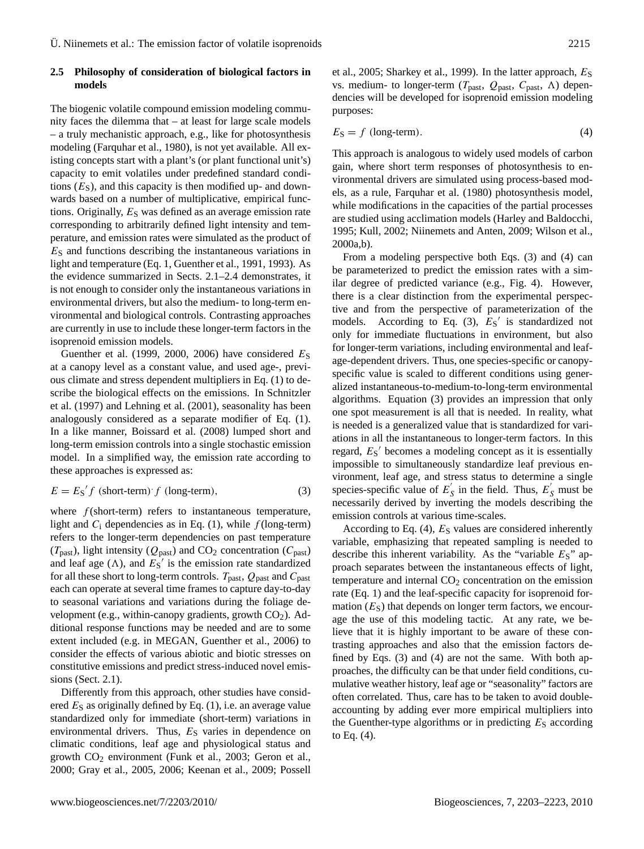## **2.5 Philosophy of consideration of biological factors in models**

The biogenic volatile compound emission modeling community faces the dilemma that – at least for large scale models – a truly mechanistic approach, e.g., like for photosynthesis modeling (Farquhar et al., 1980), is not yet available. All existing concepts start with a plant's (or plant functional unit's) capacity to emit volatiles under predefined standard conditions  $(E<sub>S</sub>)$ , and this capacity is then modified up- and downwards based on a number of multiplicative, empirical functions. Originally,  $E<sub>S</sub>$  was defined as an average emission rate corresponding to arbitrarily defined light intensity and temperature, and emission rates were simulated as the product of  $E<sub>S</sub>$  and functions describing the instantaneous variations in light and temperature (Eq. 1, Guenther et al., 1991, 1993). As the evidence summarized in Sects. 2.1–2.4 demonstrates, it is not enough to consider only the instantaneous variations in environmental drivers, but also the medium- to long-term environmental and biological controls. Contrasting approaches are currently in use to include these longer-term factors in the isoprenoid emission models.

Guenther et al. (1999, 2000, 2006) have considered  $E_S$ at a canopy level as a constant value, and used age-, previous climate and stress dependent multipliers in Eq. (1) to describe the biological effects on the emissions. In Schnitzler et al. (1997) and Lehning et al. (2001), seasonality has been analogously considered as a separate modifier of Eq. (1). In a like manner, Boissard et al. (2008) lumped short and long-term emission controls into a single stochastic emission model. In a simplified way, the emission rate according to these approaches is expressed as:

$$
E = E_S' f \text{ (short-term)} f \text{ (long-term)}, \tag{3}
$$

where  $f$  (short-term) refers to instantaneous temperature, light and  $C_i$  dependencies as in Eq. (1), while  $f$ (long-term) refers to the longer-term dependencies on past temperature  $(T_{\text{past}})$ , light intensity  $(Q_{\text{past}})$  and CO<sub>2</sub> concentration  $(C_{\text{past}})$ and leaf age  $(\Lambda)$ , and  $E_S'$  is the emission rate standardized for all these short to long-term controls.  $T_{\text{past}}, Q_{\text{past}}$  and  $C_{\text{past}}$ each can operate at several time frames to capture day-to-day to seasonal variations and variations during the foliage development (e.g., within-canopy gradients, growth CO<sub>2</sub>). Additional response functions may be needed and are to some extent included (e.g. in MEGAN, Guenther et al., 2006) to consider the effects of various abiotic and biotic stresses on constitutive emissions and predict stress-induced novel emissions (Sect. 2.1).

Differently from this approach, other studies have considered  $E<sub>S</sub>$  as originally defined by Eq. (1), i.e. an average value standardized only for immediate (short-term) variations in environmental drivers. Thus,  $E<sub>S</sub>$  varies in dependence on climatic conditions, leaf age and physiological status and growth  $CO<sub>2</sub>$  environment (Funk et al., 2003; Geron et al., 2000; Gray et al., 2005, 2006; Keenan et al., 2009; Possell et al., 2005; Sharkey et al., 1999). In the latter approach,  $E_S$ vs. medium- to longer-term ( $T_{\text{past}}, Q_{\text{past}}, C_{\text{past}}, \Lambda$ ) dependencies will be developed for isoprenoid emission modeling purposes:

$$
E_S = f \text{ (long-term).} \tag{4}
$$

This approach is analogous to widely used models of carbon gain, where short term responses of photosynthesis to environmental drivers are simulated using process-based models, as a rule, Farquhar et al. (1980) photosynthesis model, while modifications in the capacities of the partial processes are studied using acclimation models (Harley and Baldocchi, 1995; Kull, 2002; Niinemets and Anten, 2009; Wilson et al., 2000a,b).

From a modeling perspective both Eqs. (3) and (4) can be parameterized to predict the emission rates with a similar degree of predicted variance (e.g., Fig. 4). However, there is a clear distinction from the experimental perspective and from the perspective of parameterization of the models. According to Eq. (3),  $E_S$ <sup>'</sup> is standardized not only for immediate fluctuations in environment, but also for longer-term variations, including environmental and leafage-dependent drivers. Thus, one species-specific or canopyspecific value is scaled to different conditions using generalized instantaneous-to-medium-to-long-term environmental algorithms. Equation (3) provides an impression that only one spot measurement is all that is needed. In reality, what is needed is a generalized value that is standardized for variations in all the instantaneous to longer-term factors. In this regard,  $E_S'$  becomes a modeling concept as it is essentially impossible to simultaneously standardize leaf previous environment, leaf age, and stress status to determine a single species-specific value of  $E$  $S_{\rm S}$  in the field. Thus,  $E_{\rm S}^{'}$  must be necessarily derived by inverting the models describing the emission controls at various time-scales.

According to Eq.  $(4)$ ,  $E<sub>S</sub>$  values are considered inherently variable, emphasizing that repeated sampling is needed to describe this inherent variability. As the "variable  $E_S$ " approach separates between the instantaneous effects of light, temperature and internal  $CO<sub>2</sub>$  concentration on the emission rate (Eq. 1) and the leaf-specific capacity for isoprenoid formation  $(E<sub>S</sub>)$  that depends on longer term factors, we encourage the use of this modeling tactic. At any rate, we believe that it is highly important to be aware of these contrasting approaches and also that the emission factors defined by Eqs. (3) and (4) are not the same. With both approaches, the difficulty can be that under field conditions, cumulative weather history, leaf age or "seasonality" factors are often correlated. Thus, care has to be taken to avoid doubleaccounting by adding ever more empirical multipliers into the Guenther-type algorithms or in predicting  $E<sub>S</sub>$  according to Eq. (4).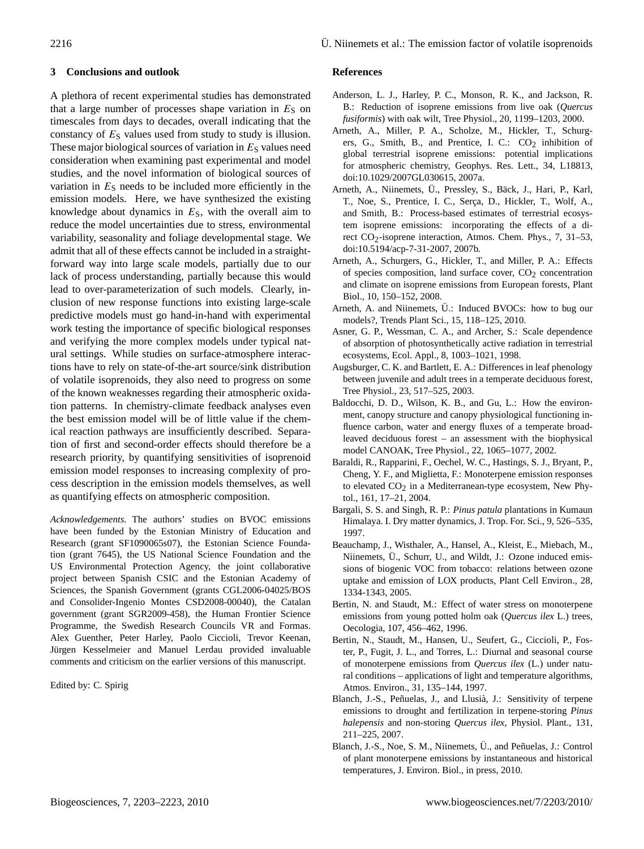### **3 Conclusions and outlook**

A plethora of recent experimental studies has demonstrated that a large number of processes shape variation in  $E<sub>S</sub>$  on timescales from days to decades, overall indicating that the constancy of  $E<sub>S</sub>$  values used from study to study is illusion. These major biological sources of variation in  $E<sub>S</sub>$  values need consideration when examining past experimental and model studies, and the novel information of biological sources of variation in  $E<sub>S</sub>$  needs to be included more efficiently in the emission models. Here, we have synthesized the existing knowledge about dynamics in  $E<sub>S</sub>$ , with the overall aim to reduce the model uncertainties due to stress, environmental variability, seasonality and foliage developmental stage. We admit that all of these effects cannot be included in a straightforward way into large scale models, partially due to our lack of process understanding, partially because this would lead to over-parameterization of such models. Clearly, inclusion of new response functions into existing large-scale predictive models must go hand-in-hand with experimental work testing the importance of specific biological responses and verifying the more complex models under typical natural settings. While studies on surface-atmosphere interactions have to rely on state-of-the-art source/sink distribution of volatile isoprenoids, they also need to progress on some of the known weaknesses regarding their atmospheric oxidation patterns. In chemistry-climate feedback analyses even the best emission model will be of little value if the chemical reaction pathways are insufficiently described. Separation of first and second-order effects should therefore be a research priority, by quantifying sensitivities of isoprenoid emission model responses to increasing complexity of process description in the emission models themselves, as well as quantifying effects on atmospheric composition.

*Acknowledgements.* The authors' studies on BVOC emissions have been funded by the Estonian Ministry of Education and Research (grant SF1090065s07), the Estonian Science Foundation (grant 7645), the US National Science Foundation and the US Environmental Protection Agency, the joint collaborative project between Spanish CSIC and the Estonian Academy of Sciences, the Spanish Government (grants CGL2006-04025/BOS and Consolider-Ingenio Montes CSD2008-00040), the Catalan government (grant SGR2009-458), the Human Frontier Science Programme, the Swedish Research Councils VR and Formas. Alex Guenther, Peter Harley, Paolo Ciccioli, Trevor Keenan, Jürgen Kesselmeier and Manuel Lerdau provided invaluable comments and criticism on the earlier versions of this manuscript.

Edited by: C. Spirig

#### **References**

- Anderson, L. J., Harley, P. C., Monson, R. K., and Jackson, R. B.: Reduction of isoprene emissions from live oak (*Quercus fusiformis*) with oak wilt, Tree Physiol., 20, 1199–1203, 2000.
- Arneth, A., Miller, P. A., Scholze, M., Hickler, T., Schurgers, G., Smith, B., and Prentice, I. C.:  $CO<sub>2</sub>$  inhibition of global terrestrial isoprene emissions: potential implications for atmospheric chemistry, Geophys. Res. Lett., 34, L18813, doi:10.1029/2007GL030615, 2007a.
- Arneth, A., Niinemets, Ü., Pressley, S., Bäck, J., Hari, P., Karl, T., Noe, S., Prentice, I. C., Serça, D., Hickler, T., Wolf, A., and Smith, B.: Process-based estimates of terrestrial ecosystem isoprene emissions: incorporating the effects of a direct CO<sub>2</sub>-isoprene interaction, Atmos. Chem. Phys., 7, 31–53, doi:10.5194/acp-7-31-2007, 2007b.
- Arneth, A., Schurgers, G., Hickler, T., and Miller, P. A.: Effects of species composition, land surface cover,  $CO<sub>2</sub>$  concentration and climate on isoprene emissions from European forests, Plant Biol., 10, 150–152, 2008.
- Arneth, A. and Niinemets, Ü.: Induced BVOCs: how to bug our models?, Trends Plant Sci., 15, 118–125, 2010.
- Asner, G. P., Wessman, C. A., and Archer, S.: Scale dependence of absorption of photosynthetically active radiation in terrestrial ecosystems, Ecol. Appl., 8, 1003–1021, 1998.
- Augsburger, C. K. and Bartlett, E. A.: Differences in leaf phenology between juvenile and adult trees in a temperate deciduous forest, Tree Physiol., 23, 517–525, 2003.
- Baldocchi, D. D., Wilson, K. B., and Gu, L.: How the environment, canopy structure and canopy physiological functioning influence carbon, water and energy fluxes of a temperate broadleaved deciduous forest – an assessment with the biophysical model CANOAK, Tree Physiol., 22, 1065–1077, 2002.
- Baraldi, R., Rapparini, F., Oechel, W. C., Hastings, S. J., Bryant, P., Cheng, Y. F., and Miglietta, F.: Monoterpene emission responses to elevated  $CO<sub>2</sub>$  in a Mediterranean-type ecosystem, New Phytol., 161, 17–21, 2004.
- Bargali, S. S. and Singh, R. P.: *Pinus patula* plantations in Kumaun Himalaya. I. Dry matter dynamics, J. Trop. For. Sci., 9, 526–535, 1997.
- Beauchamp, J., Wisthaler, A., Hansel, A., Kleist, E., Miebach, M., Niinemets, U., Schurr, U., and Wildt, J.: Ozone induced emissions of biogenic VOC from tobacco: relations between ozone uptake and emission of LOX products, Plant Cell Environ., 28, 1334-1343, 2005.
- Bertin, N. and Staudt, M.: Effect of water stress on monoterpene emissions from young potted holm oak (*Quercus ilex* L.) trees, Oecologia, 107, 456–462, 1996.
- Bertin, N., Staudt, M., Hansen, U., Seufert, G., Ciccioli, P., Foster, P., Fugit, J. L., and Torres, L.: Diurnal and seasonal course of monoterpene emissions from *Quercus ilex* (L.) under natural conditions – applications of light and temperature algorithms, Atmos. Environ., 31, 135–144, 1997.
- Blanch, J.-S., Peñuelas, J., and Llusià, J.: Sensitivity of terpene emissions to drought and fertilization in terpene-storing *Pinus halepensis* and non-storing *Quercus ilex*, Physiol. Plant., 131, 211–225, 2007.
- Blanch, J.-S., Noe, S. M., Niinemets, U., and Peñuelas, J.: Control of plant monoterpene emissions by instantaneous and historical temperatures, J. Environ. Biol., in press, 2010.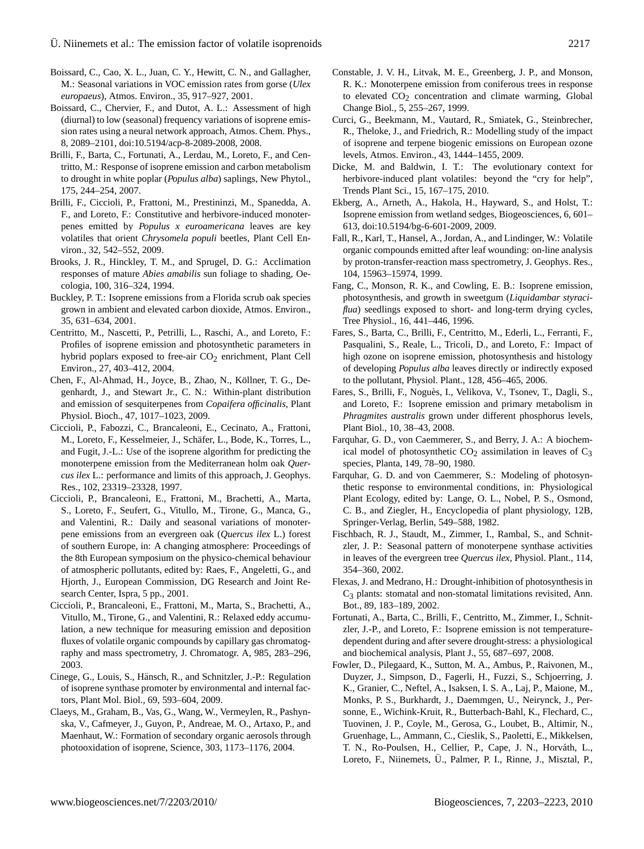- Boissard, C., Cao, X. L., Juan, C. Y., Hewitt, C. N., and Gallagher, M.: Seasonal variations in VOC emission rates from gorse (*Ulex europaeus*), Atmos. Environ., 35, 917–927, 2001.
- Boissard, C., Chervier, F., and Dutot, A. L.: Assessment of high (diurnal) to low (seasonal) frequency variations of isoprene emission rates using a neural network approach, Atmos. Chem. Phys., 8, 2089–2101, doi:10.5194/acp-8-2089-2008, 2008.
- Brilli, F., Barta, C., Fortunati, A., Lerdau, M., Loreto, F., and Centritto, M.: Response of isoprene emission and carbon metabolism to drought in white poplar (*Populus alba*) saplings, New Phytol., 175, 244–254, 2007.
- Brilli, F., Ciccioli, P., Frattoni, M., Prestininzi, M., Spanedda, A. F., and Loreto, F.: Constitutive and herbivore-induced monoterpenes emitted by *Populus x euroamericana* leaves are key volatiles that orient *Chrysomela populi* beetles, Plant Cell Environ., 32, 542–552, 2009.
- Brooks, J. R., Hinckley, T. M., and Sprugel, D. G.: Acclimation responses of mature *Abies amabilis* sun foliage to shading, Oecologia, 100, 316–324, 1994.
- Buckley, P. T.: Isoprene emissions from a Florida scrub oak species grown in ambient and elevated carbon dioxide, Atmos. Environ., 35, 631–634, 2001.
- Centritto, M., Nascetti, P., Petrilli, L., Raschi, A., and Loreto, F.: Profiles of isoprene emission and photosynthetic parameters in hybrid poplars exposed to free-air CO<sub>2</sub> enrichment, Plant Cell Environ., 27, 403–412, 2004.
- Chen, F., Al-Ahmad, H., Joyce, B., Zhao, N., Kollner, T. G., De- ¨ genhardt, J., and Stewart Jr., C. N.: Within-plant distribution and emission of sesquiterpenes from *Copaifera officinalis*, Plant Physiol. Bioch., 47, 1017–1023, 2009.
- Ciccioli, P., Fabozzi, C., Brancaleoni, E., Cecinato, A., Frattoni, M., Loreto, F., Kesselmeier, J., Schäfer, L., Bode, K., Torres, L., and Fugit, J.-L.: Use of the isoprene algorithm for predicting the monoterpene emission from the Mediterranean holm oak *Quercus ilex* L.: performance and limits of this approach, J. Geophys. Res., 102, 23319–23328, 1997.
- Ciccioli, P., Brancaleoni, E., Frattoni, M., Brachetti, A., Marta, S., Loreto, F., Seufert, G., Vitullo, M., Tirone, G., Manca, G., and Valentini, R.: Daily and seasonal variations of monoterpene emissions from an evergreen oak (*Quercus ilex* L.) forest of southern Europe, in: A changing atmosphere: Proceedings of the 8th European symposium on the physico-chemical behaviour of atmospheric pollutants, edited by: Raes, F., Angeletti, G., and Hjorth, J., European Commission, DG Research and Joint Research Center, Ispra, 5 pp., 2001.
- Ciccioli, P., Brancaleoni, E., Frattoni, M., Marta, S., Brachetti, A., Vitullo, M., Tirone, G., and Valentini, R.: Relaxed eddy accumulation, a new technique for measuring emission and deposition fluxes of volatile organic compounds by capillary gas chromatography and mass spectrometry, J. Chromatogr. A, 985, 283–296, 2003.
- Cinege, G., Louis, S., Hänsch, R., and Schnitzler, J.-P.: Regulation of isoprene synthase promoter by environmental and internal factors, Plant Mol. Biol., 69, 593–604, 2009.
- Claeys, M., Graham, B., Vas, G., Wang, W., Vermeylen, R., Pashynska, V., Cafmeyer, J., Guyon, P., Andreae, M. O., Artaxo, P., and Maenhaut, W.: Formation of secondary organic aerosols through photooxidation of isoprene, Science, 303, 1173–1176, 2004.
- Constable, J. V. H., Litvak, M. E., Greenberg, J. P., and Monson, R. K.: Monoterpene emission from coniferous trees in response to elevated  $CO<sub>2</sub>$  concentration and climate warming, Global Change Biol., 5, 255–267, 1999.
- Curci, G., Beekmann, M., Vautard, R., Smiatek, G., Steinbrecher, R., Theloke, J., and Friedrich, R.: Modelling study of the impact of isoprene and terpene biogenic emissions on European ozone levels, Atmos. Environ., 43, 1444–1455, 2009.
- Dicke, M. and Baldwin, I. T.: The evolutionary context for herbivore-induced plant volatiles: beyond the "cry for help", Trends Plant Sci., 15, 167–175, 2010.
- Ekberg, A., Arneth, A., Hakola, H., Hayward, S., and Holst, T.: Isoprene emission from wetland sedges, Biogeosciences, 6, 601– 613, doi:10.5194/bg-6-601-2009, 2009.
- Fall, R., Karl, T., Hansel, A., Jordan, A., and Lindinger, W.: Volatile organic compounds emitted after leaf wounding: on-line analysis by proton-transfer-reaction mass spectrometry, J. Geophys. Res., 104, 15963–15974, 1999.
- Fang, C., Monson, R. K., and Cowling, E. B.: Isoprene emission, photosynthesis, and growth in sweetgum (*Liquidambar styraciflua*) seedlings exposed to short- and long-term drying cycles, Tree Physiol., 16, 441–446, 1996.
- Fares, S., Barta, C., Brilli, F., Centritto, M., Ederli, L., Ferranti, F., Pasqualini, S., Reale, L., Tricoli, D., and Loreto, F.: Impact of high ozone on isoprene emission, photosynthesis and histology of developing *Populus alba* leaves directly or indirectly exposed to the pollutant, Physiol. Plant., 128, 456–465, 2006.
- Fares, S., Brilli, F., Noguès, I., Velikova, V., Tsonev, T., Dagli, S., and Loreto, F.: Isoprene emission and primary metabolism in *Phragmites australis* grown under different phosphorus levels, Plant Biol., 10, 38–43, 2008.
- Farquhar, G. D., von Caemmerer, S., and Berry, J. A.: A biochemical model of photosynthetic  $CO<sub>2</sub>$  assimilation in leaves of  $C<sub>3</sub>$ species, Planta, 149, 78–90, 1980.
- Farquhar, G. D. and von Caemmerer, S.: Modeling of photosynthetic response to environmental conditions, in: Physiological Plant Ecology, edited by: Lange, O. L., Nobel, P. S., Osmond, C. B., and Ziegler, H., Encyclopedia of plant physiology, 12B, Springer-Verlag, Berlin, 549–588, 1982.
- Fischbach, R. J., Staudt, M., Zimmer, I., Rambal, S., and Schnitzler, J. P.: Seasonal pattern of monoterpene synthase activities in leaves of the evergreen tree *Quercus ilex*, Physiol. Plant., 114, 354–360, 2002.
- Flexas, J. and Medrano, H.: Drought-inhibition of photosynthesis in C3 plants: stomatal and non-stomatal limitations revisited, Ann. Bot., 89, 183–189, 2002.
- Fortunati, A., Barta, C., Brilli, F., Centritto, M., Zimmer, I., Schnitzler, J.-P., and Loreto, F.: Isoprene emission is not temperaturedependent during and after severe drought-stress: a physiological and biochemical analysis, Plant J., 55, 687–697, 2008.
- Fowler, D., Pilegaard, K., Sutton, M. A., Ambus, P., Raivonen, M., Duyzer, J., Simpson, D., Fagerli, H., Fuzzi, S., Schjoerring, J. K., Granier, C., Neftel, A., Isaksen, I. S. A., Laj, P., Maione, M., Monks, P. S., Burkhardt, J., Daemmgen, U., Neirynck, J., Personne, E., Wichink-Kruit, R., Butterbach-Bahl, K., Flechard, C., Tuovinen, J. P., Coyle, M., Gerosa, G., Loubet, B., Altimir, N., Gruenhage, L., Ammann, C., Cieslik, S., Paoletti, E., Mikkelsen, T. N., Ro-Poulsen, H., Cellier, P., Cape, J. N., Horváth, L., Loreto, F., Niinemets, Ü., Palmer, P. I., Rinne, J., Misztal, P.,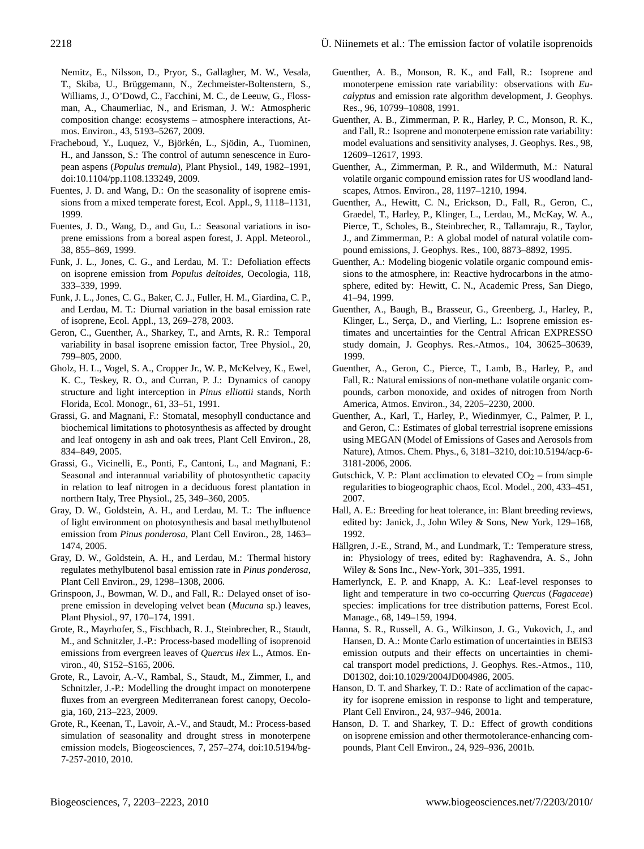Nemitz, E., Nilsson, D., Pryor, S., Gallagher, M. W., Vesala, T., Skiba, U., Brüggemann, N., Zechmeister-Boltenstern, S., Williams, J., O'Dowd, C., Facchini, M. C., de Leeuw, G., Flossman, A., Chaumerliac, N., and Erisman, J. W.: Atmospheric composition change: ecosystems – atmosphere interactions, Atmos. Environ., 43, 5193–5267, 2009.

- Fracheboud, Y., Luquez, V., Björkén, L., Sjödin, A., Tuominen, H., and Jansson, S.: The control of autumn senescence in European aspens (*Populus tremula*), Plant Physiol., 149, 1982–1991, doi:10.1104/pp.1108.133249, 2009.
- Fuentes, J. D. and Wang, D.: On the seasonality of isoprene emissions from a mixed temperate forest, Ecol. Appl., 9, 1118–1131, 1999.
- Fuentes, J. D., Wang, D., and Gu, L.: Seasonal variations in isoprene emissions from a boreal aspen forest, J. Appl. Meteorol., 38, 855–869, 1999.
- Funk, J. L., Jones, C. G., and Lerdau, M. T.: Defoliation effects on isoprene emission from *Populus deltoides*, Oecologia, 118, 333–339, 1999.
- Funk, J. L., Jones, C. G., Baker, C. J., Fuller, H. M., Giardina, C. P., and Lerdau, M. T.: Diurnal variation in the basal emission rate of isoprene, Ecol. Appl., 13, 269–278, 2003.
- Geron, C., Guenther, A., Sharkey, T., and Arnts, R. R.: Temporal variability in basal isoprene emission factor, Tree Physiol., 20, 799–805, 2000.
- Gholz, H. L., Vogel, S. A., Cropper Jr., W. P., McKelvey, K., Ewel, K. C., Teskey, R. O., and Curran, P. J.: Dynamics of canopy structure and light interception in *Pinus elliottii* stands, North Florida, Ecol. Monogr., 61, 33–51, 1991.
- Grassi, G. and Magnani, F.: Stomatal, mesophyll conductance and biochemical limitations to photosynthesis as affected by drought and leaf ontogeny in ash and oak trees, Plant Cell Environ., 28, 834–849, 2005.
- Grassi, G., Vicinelli, E., Ponti, F., Cantoni, L., and Magnani, F.: Seasonal and interannual variability of photosynthetic capacity in relation to leaf nitrogen in a deciduous forest plantation in northern Italy, Tree Physiol., 25, 349–360, 2005.
- Gray, D. W., Goldstein, A. H., and Lerdau, M. T.: The influence of light environment on photosynthesis and basal methylbutenol emission from *Pinus ponderosa*, Plant Cell Environ., 28, 1463– 1474, 2005.
- Gray, D. W., Goldstein, A. H., and Lerdau, M.: Thermal history regulates methylbutenol basal emission rate in *Pinus ponderosa*, Plant Cell Environ., 29, 1298–1308, 2006.
- Grinspoon, J., Bowman, W. D., and Fall, R.: Delayed onset of isoprene emission in developing velvet bean (*Mucuna* sp.) leaves, Plant Physiol., 97, 170–174, 1991.
- Grote, R., Mayrhofer, S., Fischbach, R. J., Steinbrecher, R., Staudt, M., and Schnitzler, J.-P.: Process-based modelling of isoprenoid emissions from evergreen leaves of *Quercus ilex* L., Atmos. Environ., 40, S152–S165, 2006.
- Grote, R., Lavoir, A.-V., Rambal, S., Staudt, M., Zimmer, I., and Schnitzler, J.-P.: Modelling the drought impact on monoterpene fluxes from an evergreen Mediterranean forest canopy, Oecologia, 160, 213–223, 2009.
- Grote, R., Keenan, T., Lavoir, A.-V., and Staudt, M.: Process-based simulation of seasonality and drought stress in monoterpene emission models, Biogeosciences, 7, 257–274, doi:10.5194/bg-7-257-2010, 2010.
- Guenther, A. B., Monson, R. K., and Fall, R.: Isoprene and monoterpene emission rate variability: observations with *Eucalyptus* and emission rate algorithm development, J. Geophys. Res., 96, 10799–10808, 1991.
- Guenther, A. B., Zimmerman, P. R., Harley, P. C., Monson, R. K., and Fall, R.: Isoprene and monoterpene emission rate variability: model evaluations and sensitivity analyses, J. Geophys. Res., 98, 12609–12617, 1993.
- Guenther, A., Zimmerman, P. R., and Wildermuth, M.: Natural volatile organic compound emission rates for US woodland landscapes, Atmos. Environ., 28, 1197–1210, 1994.
- Guenther, A., Hewitt, C. N., Erickson, D., Fall, R., Geron, C., Graedel, T., Harley, P., Klinger, L., Lerdau, M., McKay, W. A., Pierce, T., Scholes, B., Steinbrecher, R., Tallamraju, R., Taylor, J., and Zimmerman, P.: A global model of natural volatile compound emissions, J. Geophys. Res., 100, 8873–8892, 1995.
- Guenther, A.: Modeling biogenic volatile organic compound emissions to the atmosphere, in: Reactive hydrocarbons in the atmosphere, edited by: Hewitt, C. N., Academic Press, San Diego, 41–94, 1999.
- Guenther, A., Baugh, B., Brasseur, G., Greenberg, J., Harley, P., Klinger, L., Serça, D., and Vierling, L.: Isoprene emission estimates and uncertainties for the Central African EXPRESSO study domain, J. Geophys. Res.-Atmos., 104, 30625–30639, 1999.
- Guenther, A., Geron, C., Pierce, T., Lamb, B., Harley, P., and Fall, R.: Natural emissions of non-methane volatile organic compounds, carbon monoxide, and oxides of nitrogen from North America, Atmos. Environ., 34, 2205–2230, 2000.
- Guenther, A., Karl, T., Harley, P., Wiedinmyer, C., Palmer, P. I., and Geron, C.: Estimates of global terrestrial isoprene emissions using MEGAN (Model of Emissions of Gases and Aerosols from Nature), Atmos. Chem. Phys., 6, 3181–3210, doi:10.5194/acp-6- 3181-2006, 2006.
- Gutschick, V. P.: Plant acclimation to elevated  $CO<sub>2</sub>$  from simple regularities to biogeographic chaos, Ecol. Model., 200, 433–451, 2007.
- Hall, A. E.: Breeding for heat tolerance, in: Blant breeding reviews, edited by: Janick, J., John Wiley & Sons, New York, 129–168, 1992.
- Hällgren, J.-E., Strand, M., and Lundmark, T.: Temperature stress, in: Physiology of trees, edited by: Raghavendra, A. S., John Wiley & Sons Inc., New-York, 301–335, 1991.
- Hamerlynck, E. P. and Knapp, A. K.: Leaf-level responses to light and temperature in two co-occurring *Quercus* (*Fagaceae*) species: implications for tree distribution patterns, Forest Ecol. Manage., 68, 149–159, 1994.
- Hanna, S. R., Russell, A. G., Wilkinson, J. G., Vukovich, J., and Hansen, D. A.: Monte Carlo estimation of uncertainties in BEIS3 emission outputs and their effects on uncertainties in chemical transport model predictions, J. Geophys. Res.-Atmos., 110, D01302, doi:10.1029/2004JD004986, 2005.
- Hanson, D. T. and Sharkey, T. D.: Rate of acclimation of the capacity for isoprene emission in response to light and temperature, Plant Cell Environ., 24, 937–946, 2001a.
- Hanson, D. T. and Sharkey, T. D.: Effect of growth conditions on isoprene emission and other thermotolerance-enhancing compounds, Plant Cell Environ., 24, 929–936, 2001b.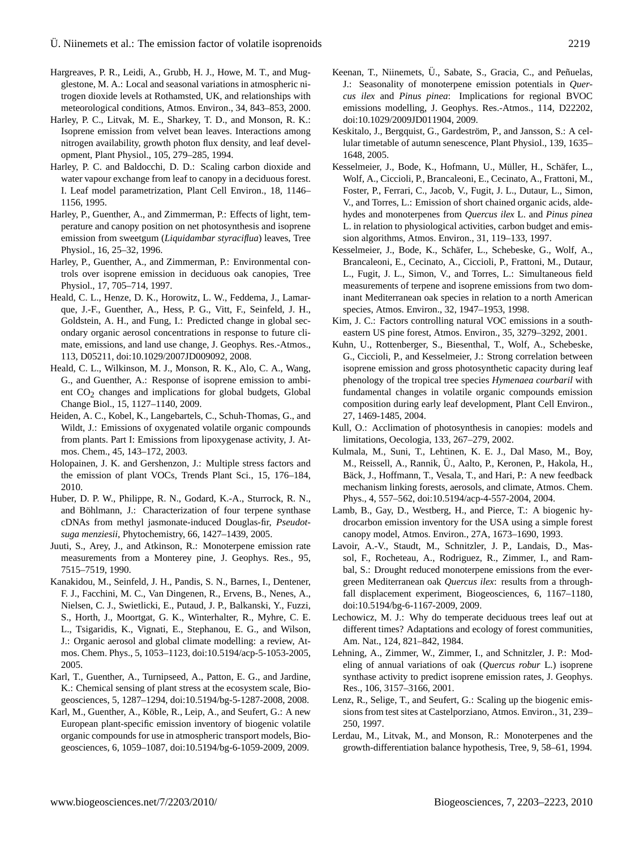- Hargreaves, P. R., Leidi, A., Grubb, H. J., Howe, M. T., and Mugglestone, M. A.: Local and seasonal variations in atmospheric nitrogen dioxide levels at Rothamsted, UK, and relationships with meteorological conditions, Atmos. Environ., 34, 843–853, 2000.
- Harley, P. C., Litvak, M. E., Sharkey, T. D., and Monson, R. K.: Isoprene emission from velvet bean leaves. Interactions among nitrogen availability, growth photon flux density, and leaf development, Plant Physiol., 105, 279–285, 1994.
- Harley, P. C. and Baldocchi, D. D.: Scaling carbon dioxide and water vapour exchange from leaf to canopy in a deciduous forest. I. Leaf model parametrization, Plant Cell Environ., 18, 1146– 1156, 1995.
- Harley, P., Guenther, A., and Zimmerman, P.: Effects of light, temperature and canopy position on net photosynthesis and isoprene emission from sweetgum (*Liquidambar styraciflua*) leaves, Tree Physiol., 16, 25–32, 1996.
- Harley, P., Guenther, A., and Zimmerman, P.: Environmental controls over isoprene emission in deciduous oak canopies, Tree Physiol., 17, 705–714, 1997.
- Heald, C. L., Henze, D. K., Horowitz, L. W., Feddema, J., Lamarque, J.-F., Guenther, A., Hess, P. G., Vitt, F., Seinfeld, J. H., Goldstein, A. H., and Fung, I.: Predicted change in global secondary organic aerosol concentrations in response to future climate, emissions, and land use change, J. Geophys. Res.-Atmos., 113, D05211, doi:10.1029/2007JD009092, 2008.
- Heald, C. L., Wilkinson, M. J., Monson, R. K., Alo, C. A., Wang, G., and Guenther, A.: Response of isoprene emission to ambient CO<sub>2</sub> changes and implications for global budgets, Global Change Biol., 15, 1127–1140, 2009.
- Heiden, A. C., Kobel, K., Langebartels, C., Schuh-Thomas, G., and Wildt, J.: Emissions of oxygenated volatile organic compounds from plants. Part I: Emissions from lipoxygenase activity, J. Atmos. Chem., 45, 143–172, 2003.
- Holopainen, J. K. and Gershenzon, J.: Multiple stress factors and the emission of plant VOCs, Trends Plant Sci., 15, 176–184, 2010.
- Huber, D. P. W., Philippe, R. N., Godard, K.-A., Sturrock, R. N., and Böhlmann, J.: Characterization of four terpene synthase cDNAs from methyl jasmonate-induced Douglas-fir, *Pseudotsuga menziesii*, Phytochemistry, 66, 1427–1439, 2005.
- Juuti, S., Arey, J., and Atkinson, R.: Monoterpene emission rate measurements from a Monterey pine, J. Geophys. Res., 95, 7515–7519, 1990.
- Kanakidou, M., Seinfeld, J. H., Pandis, S. N., Barnes, I., Dentener, F. J., Facchini, M. C., Van Dingenen, R., Ervens, B., Nenes, A., Nielsen, C. J., Swietlicki, E., Putaud, J. P., Balkanski, Y., Fuzzi, S., Horth, J., Moortgat, G. K., Winterhalter, R., Myhre, C. E. L., Tsigaridis, K., Vignati, E., Stephanou, E. G., and Wilson, J.: Organic aerosol and global climate modelling: a review, Atmos. Chem. Phys., 5, 1053–1123, doi:10.5194/acp-5-1053-2005, 2005.
- Karl, T., Guenther, A., Turnipseed, A., Patton, E. G., and Jardine, K.: Chemical sensing of plant stress at the ecosystem scale, Biogeosciences, 5, 1287–1294, doi:10.5194/bg-5-1287-2008, 2008.
- Karl, M., Guenther, A., Köble, R., Leip, A., and Seufert, G.: A new European plant-specific emission inventory of biogenic volatile organic compounds for use in atmospheric transport models, Biogeosciences, 6, 1059–1087, doi:10.5194/bg-6-1059-2009, 2009.
- Keenan, T., Niinemets, Ü., Sabate, S., Gracia, C., and Peñuelas, J.: Seasonality of monoterpene emission potentials in *Quercus ilex* and *Pinus pinea*: Implications for regional BVOC emissions modelling, J. Geophys. Res.-Atmos., 114, D22202, doi:10.1029/2009JD011904, 2009.
- Keskitalo, J., Bergquist, G., Gardeström, P., and Jansson, S.: A cellular timetable of autumn senescence, Plant Physiol., 139, 1635– 1648, 2005.
- Kesselmeier, J., Bode, K., Hofmann, U., Müller, H., Schäfer, L., Wolf, A., Ciccioli, P., Brancaleoni, E., Cecinato, A., Frattoni, M., Foster, P., Ferrari, C., Jacob, V., Fugit, J. L., Dutaur, L., Simon, V., and Torres, L.: Emission of short chained organic acids, aldehydes and monoterpenes from *Quercus ilex* L. and *Pinus pinea* L. in relation to physiological activities, carbon budget and emission algorithms, Atmos. Environ., 31, 119–133, 1997.
- Kesselmeier, J., Bode, K., Schäfer, L., Schebeske, G., Wolf, A., Brancaleoni, E., Cecinato, A., Ciccioli, P., Frattoni, M., Dutaur, L., Fugit, J. L., Simon, V., and Torres, L.: Simultaneous field measurements of terpene and isoprene emissions from two dominant Mediterranean oak species in relation to a north American species, Atmos. Environ., 32, 1947–1953, 1998.
- Kim, J. C.: Factors controlling natural VOC emissions in a southeastern US pine forest, Atmos. Environ., 35, 3279–3292, 2001.
- Kuhn, U., Rottenberger, S., Biesenthal, T., Wolf, A., Schebeske, G., Ciccioli, P., and Kesselmeier, J.: Strong correlation between isoprene emission and gross photosynthetic capacity during leaf phenology of the tropical tree species *Hymenaea courbaril* with fundamental changes in volatile organic compounds emission composition during early leaf development, Plant Cell Environ., 27, 1469-1485, 2004.
- Kull, O.: Acclimation of photosynthesis in canopies: models and limitations, Oecologia, 133, 267–279, 2002.
- Kulmala, M., Suni, T., Lehtinen, K. E. J., Dal Maso, M., Boy, M., Reissell, A., Rannik, Ü., Aalto, P., Keronen, P., Hakola, H., Bäck, J., Hoffmann, T., Vesala, T., and Hari, P.: A new feedback mechanism linking forests, aerosols, and climate, Atmos. Chem. Phys., 4, 557–562, doi:10.5194/acp-4-557-2004, 2004.
- Lamb, B., Gay, D., Westberg, H., and Pierce, T.: A biogenic hydrocarbon emission inventory for the USA using a simple forest canopy model, Atmos. Environ., 27A, 1673–1690, 1993.
- Lavoir, A.-V., Staudt, M., Schnitzler, J. P., Landais, D., Massol, F., Rocheteau, A., Rodriguez, R., Zimmer, I., and Rambal, S.: Drought reduced monoterpene emissions from the evergreen Mediterranean oak *Quercus ilex*: results from a throughfall displacement experiment, Biogeosciences, 6, 1167–1180, doi:10.5194/bg-6-1167-2009, 2009.
- Lechowicz, M. J.: Why do temperate deciduous trees leaf out at different times? Adaptations and ecology of forest communities, Am. Nat., 124, 821–842, 1984.
- Lehning, A., Zimmer, W., Zimmer, I., and Schnitzler, J. P.: Modeling of annual variations of oak (*Quercus robur* L.) isoprene synthase activity to predict isoprene emission rates, J. Geophys. Res., 106, 3157–3166, 2001.
- Lenz, R., Selige, T., and Seufert, G.: Scaling up the biogenic emissions from test sites at Castelporziano, Atmos. Environ., 31, 239– 250, 1997.
- Lerdau, M., Litvak, M., and Monson, R.: Monoterpenes and the growth-differentiation balance hypothesis, Tree, 9, 58–61, 1994.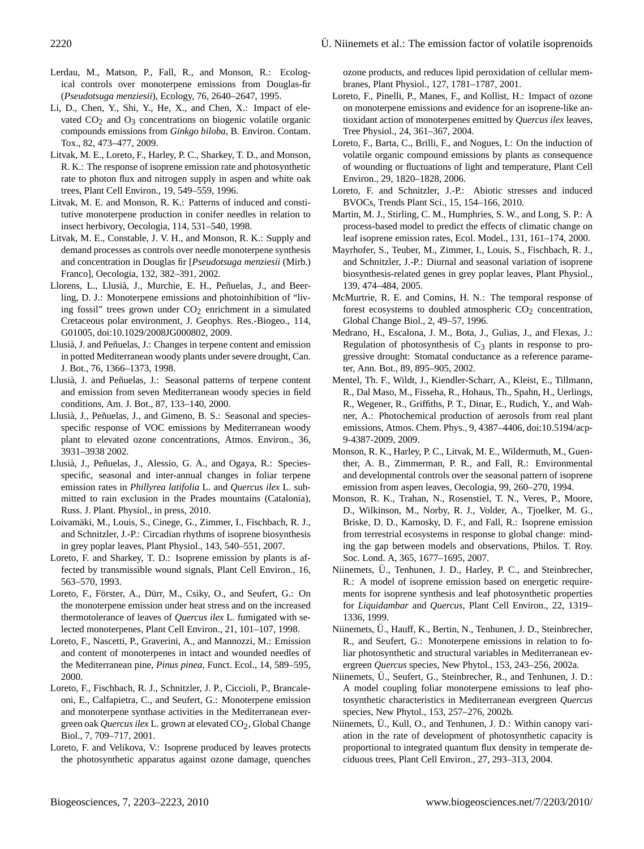- Lerdau, M., Matson, P., Fall, R., and Monson, R.: Ecological controls over monoterpene emissions from Douglas-fir (*Pseudotsuga menziesii*), Ecology, 76, 2640–2647, 1995.
- Li, D., Chen, Y., Shi, Y., He, X., and Chen, X.: Impact of elevated  $CO<sub>2</sub>$  and  $O<sub>3</sub>$  concentrations on biogenic volatile organic compounds emissions from *Ginkgo biloba*, B. Environ. Contam. Tox., 82, 473–477, 2009.
- Litvak, M. E., Loreto, F., Harley, P. C., Sharkey, T. D., and Monson, R. K.: The response of isoprene emission rate and photosynthetic rate to photon flux and nitrogen supply in aspen and white oak trees, Plant Cell Environ., 19, 549–559, 1996.
- Litvak, M. E. and Monson, R. K.: Patterns of induced and constitutive monoterpene production in conifer needles in relation to insect herbivory, Oecologia, 114, 531–540, 1998.
- Litvak, M. E., Constable, J. V. H., and Monson, R. K.: Supply and demand processes as controls over needle monoterpene synthesis and concentration in Douglas fir [*Pseudotsuga menziesii* (Mirb.) Franco], Oecologia, 132, 382–391, 2002.
- Llorens, L., Llusià, J., Murchie, E. H., Peñuelas, J., and Beerling, D. J.: Monoterpene emissions and photoinhibition of "living fossil" trees grown under  $CO<sub>2</sub>$  enrichment in a simulated Cretaceous polar environment, J. Geophys. Res.-Biogeo., 114, G01005, doi:10.1029/2008JG000802, 2009.
- Llusià, J. and Peñuelas, J.: Changes in terpene content and emission in potted Mediterranean woody plants under severe drought, Can. J. Bot., 76, 1366–1373, 1998.
- Llusià, J. and Peñuelas, J.: Seasonal patterns of terpene content and emission from seven Mediterranean woody species in field conditions, Am. J. Bot., 87, 133–140, 2000.
- Llusià, J., Peñuelas, J., and Gimeno, B. S.: Seasonal and speciesspecific response of VOC emissions by Mediterranean woody plant to elevated ozone concentrations, Atmos. Environ., 36, 3931–3938 2002.
- Llusià, J., Peñuelas, J., Alessio, G. A., and Ogaya, R.: Speciesspecific, seasonal and inter-annual changes in foliar terpene emission rates in *Phillyrea latifolia* L. and *Quercus ilex* L. submitted to rain exclusion in the Prades mountains (Catalonia), Russ. J. Plant. Physiol., in press, 2010.
- Loivamäki, M., Louis, S., Cinege, G., Zimmer, I., Fischbach, R. J., and Schnitzler, J.-P.: Circadian rhythms of isoprene biosynthesis in grey poplar leaves, Plant Physiol., 143, 540–551, 2007.
- Loreto, F. and Sharkey, T. D.: Isoprene emission by plants is affected by transmissible wound signals, Plant Cell Environ., 16, 563–570, 1993.
- Loreto, F., Förster, A., Dürr, M., Csiky, O., and Seufert, G.: On the monoterpene emission under heat stress and on the increased thermotolerance of leaves of *Quercus ilex* L. fumigated with selected monoterpenes, Plant Cell Environ., 21, 101–107, 1998.
- Loreto, F., Nascetti, P., Graverini, A., and Mannozzi, M.: Emission and content of monoterpenes in intact and wounded needles of the Mediterranean pine, *Pinus pinea*, Funct. Ecol., 14, 589–595, 2000.
- Loreto, F., Fischbach, R. J., Schnitzler, J. P., Ciccioli, P., Brancaleoni, E., Calfapietra, C., and Seufert, G.: Monoterpene emission and monoterpene synthase activities in the Mediterranean evergreen oak *Quercus ilex* L. grown at elevated CO<sub>2</sub>, Global Change Biol., 7, 709–717, 2001.
- Loreto, F. and Velikova, V.: Isoprene produced by leaves protects the photosynthetic apparatus against ozone damage, quenches

ozone products, and reduces lipid peroxidation of cellular membranes, Plant Physiol., 127, 1781–1787, 2001.

- Loreto, F., Pinelli, P., Manes, F., and Kollist, H.: Impact of ozone on monoterpene emissions and evidence for an isoprene-like antioxidant action of monoterpenes emitted by *Quercus ilex* leaves, Tree Physiol., 24, 361–367, 2004.
- Loreto, F., Barta, C., Brilli, F., and Nogues, I.: On the induction of volatile organic compound emissions by plants as consequence of wounding or fluctuations of light and temperature, Plant Cell Environ., 29, 1820–1828, 2006.
- Loreto, F. and Schnitzler, J.-P.: Abiotic stresses and induced BVOCs, Trends Plant Sci., 15, 154–166, 2010.
- Martin, M. J., Stirling, C. M., Humphries, S. W., and Long, S. P.: A process-based model to predict the effects of climatic change on leaf isoprene emission rates, Ecol. Model., 131, 161–174, 2000.
- Mayrhofer, S., Teuber, M., Zimmer, I., Louis, S., Fischbach, R. J., and Schnitzler, J.-P.: Diurnal and seasonal variation of isoprene biosynthesis-related genes in grey poplar leaves, Plant Physiol., 139, 474–484, 2005.
- McMurtrie, R. E. and Comins, H. N.: The temporal response of forest ecosystems to doubled atmospheric  $CO<sub>2</sub>$  concentration, Global Change Biol., 2, 49–57, 1996.
- Medrano, H., Escalona, J. M., Bota, J., Gulias, J., and Flexas, J.: Regulation of photosynthesis of  $C_3$  plants in response to progressive drought: Stomatal conductance as a reference parameter, Ann. Bot., 89, 895–905, 2002.
- Mentel, Th. F., Wildt, J., Kiendler-Scharr, A., Kleist, E., Tillmann, R., Dal Maso, M., Fisseha, R., Hohaus, Th., Spahn, H., Uerlings, R., Wegener, R., Griffiths, P. T., Dinar, E., Rudich, Y., and Wahner, A.: Photochemical production of aerosols from real plant emissions, Atmos. Chem. Phys., 9, 4387–4406, doi:10.5194/acp-9-4387-2009, 2009.
- Monson, R. K., Harley, P. C., Litvak, M. E., Wildermuth, M., Guenther, A. B., Zimmerman, P. R., and Fall, R.: Environmental and developmental controls over the seasonal pattern of isoprene emission from aspen leaves, Oecologia, 99, 260–270, 1994.
- Monson, R. K., Trahan, N., Rosenstiel, T. N., Veres, P., Moore, D., Wilkinson, M., Norby, R. J., Volder, A., Tjoelker, M. G., Briske, D. D., Karnosky, D. F., and Fall, R.: Isoprene emission from terrestrial ecosystems in response to global change: minding the gap between models and observations, Philos. T. Roy. Soc. Lond. A, 365, 1677–1695, 2007.
- Niinemets, U., Tenhunen, J. D., Harley, P. C., and Steinbrecher, R.: A model of isoprene emission based on energetic requirements for isoprene synthesis and leaf photosynthetic properties for *Liquidambar* and *Quercus*, Plant Cell Environ., 22, 1319– 1336, 1999.
- Niinemets, Ü., Hauff, K., Bertin, N., Tenhunen, J. D., Steinbrecher, R., and Seufert, G.: Monoterpene emissions in relation to foliar photosynthetic and structural variables in Mediterranean evergreen *Quercus* species, New Phytol., 153, 243–256, 2002a.
- Niinemets, Ü., Seufert, G., Steinbrecher, R., and Tenhunen, J. D.: A model coupling foliar monoterpene emissions to leaf photosynthetic characteristics in Mediterranean evergreen *Quercus* species, New Phytol., 153, 257–276, 2002b.
- Niinemets, U., Kull, O., and Tenhunen, J. D.: Within canopy variation in the rate of development of photosynthetic capacity is proportional to integrated quantum flux density in temperate deciduous trees, Plant Cell Environ., 27, 293–313, 2004.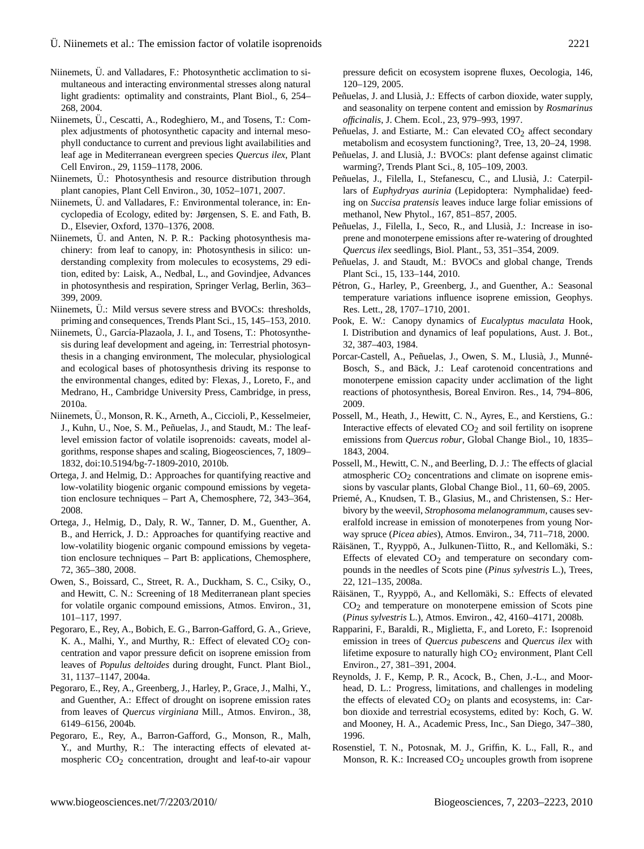- Niinemets, Ü. and Valladares, F.: Photosynthetic acclimation to simultaneous and interacting environmental stresses along natural light gradients: optimality and constraints, Plant Biol., 6, 254– 268, 2004.
- Niinemets, Ü., Cescatti, A., Rodeghiero, M., and Tosens, T.: Complex adjustments of photosynthetic capacity and internal mesophyll conductance to current and previous light availabilities and leaf age in Mediterranean evergreen species *Quercus ilex*, Plant Cell Environ., 29, 1159–1178, 2006.
- Niinemets, U.: Photosynthesis and resource distribution through plant canopies, Plant Cell Environ., 30, 1052–1071, 2007.
- Niinemets, U. and Valladares, F.: Environmental tolerance, in: Encyclopedia of Ecology, edited by: Jørgensen, S. E. and Fath, B. D., Elsevier, Oxford, 1370–1376, 2008.
- Niinemets, Ü. and Anten, N. P. R.: Packing photosynthesis machinery: from leaf to canopy, in: Photosynthesis in silico: understanding complexity from molecules to ecosystems, 29 edition, edited by: Laisk, A., Nedbal, L., and Govindjee, Advances in photosynthesis and respiration, Springer Verlag, Berlin, 363– 399, 2009.
- Niinemets,  $\ddot{\text{U}}$ .: Mild versus severe stress and BVOCs: thresholds, priming and consequences, Trends Plant Sci., 15, 145–153, 2010.
- Niinemets, Ü., García-Plazaola, J. I., and Tosens, T.: Photosynthesis during leaf development and ageing, in: Terrestrial photosynthesis in a changing environment, The molecular, physiological and ecological bases of photosynthesis driving its response to the environmental changes, edited by: Flexas, J., Loreto, F., and Medrano, H., Cambridge University Press, Cambridge, in press, 2010a.
- Niinemets, Ü., Monson, R. K., Arneth, A., Ciccioli, P., Kesselmeier, J., Kuhn, U., Noe, S. M., Peñuelas, J., and Staudt, M.: The leaflevel emission factor of volatile isoprenoids: caveats, model algorithms, response shapes and scaling, Biogeosciences, 7, 1809– 1832, doi:10.5194/bg-7-1809-2010, 2010b.
- Ortega, J. and Helmig, D.: Approaches for quantifying reactive and low-volatility biogenic organic compound emissions by vegetation enclosure techniques – Part A, Chemosphere, 72, 343–364, 2008.
- Ortega, J., Helmig, D., Daly, R. W., Tanner, D. M., Guenther, A. B., and Herrick, J. D.: Approaches for quantifying reactive and low-volatility biogenic organic compound emissions by vegetation enclosure techniques – Part B: applications, Chemosphere, 72, 365–380, 2008.
- Owen, S., Boissard, C., Street, R. A., Duckham, S. C., Csiky, O., and Hewitt, C. N.: Screening of 18 Mediterranean plant species for volatile organic compound emissions, Atmos. Environ., 31, 101–117, 1997.
- Pegoraro, E., Rey, A., Bobich, E. G., Barron-Gafford, G. A., Grieve, K. A., Malhi, Y., and Murthy, R.: Effect of elevated  $CO<sub>2</sub>$  concentration and vapor pressure deficit on isoprene emission from leaves of *Populus deltoides* during drought, Funct. Plant Biol., 31, 1137–1147, 2004a.
- Pegoraro, E., Rey, A., Greenberg, J., Harley, P., Grace, J., Malhi, Y., and Guenther, A.: Effect of drought on isoprene emission rates from leaves of *Quercus virginiana* Mill., Atmos. Environ., 38, 6149–6156, 2004b.
- Pegoraro, E., Rey, A., Barron-Gafford, G., Monson, R., Malh, Y., and Murthy, R.: The interacting effects of elevated atmospheric CO<sub>2</sub> concentration, drought and leaf-to-air vapour

pressure deficit on ecosystem isoprene fluxes, Oecologia, 146, 120–129, 2005.

- Peñuelas, J. and Llusià, J.: Effects of carbon dioxide, water supply, and seasonality on terpene content and emission by *Rosmarinus officinalis*, J. Chem. Ecol., 23, 979–993, 1997.
- Peñuelas, J. and Estiarte, M.: Can elevated  $CO<sub>2</sub>$  affect secondary metabolism and ecosystem functioning?, Tree, 13, 20–24, 1998.
- Peñuelas, J. and Llusià, J.: BVOCs: plant defense against climatic warming?, Trends Plant Sci., 8, 105–109, 2003.
- Peñuelas, J., Filella, I., Stefanescu, C., and Llusià, J.: Caterpillars of *Euphydryas aurinia* (Lepidoptera: Nymphalidae) feeding on *Succisa pratensis* leaves induce large foliar emissions of methanol, New Phytol., 167, 851–857, 2005.
- Peñuelas, J., Filella, I., Seco, R., and Llusià, J.: Increase in isoprene and monoterpene emissions after re-watering of droughted *Quercus ilex* seedlings, Biol. Plant., 53, 351–354, 2009.
- Peñuelas, J. and Staudt, M.: BVOCs and global change, Trends Plant Sci., 15, 133–144, 2010.
- Pétron, G., Harley, P., Greenberg, J., and Guenther, A.: Seasonal temperature variations influence isoprene emission, Geophys. Res. Lett., 28, 1707–1710, 2001.
- Pook, E. W.: Canopy dynamics of *Eucalyptus maculata* Hook, I. Distribution and dynamics of leaf populations, Aust. J. Bot., 32, 387–403, 1984.
- Porcar-Castell, A., Peñuelas, J., Owen, S. M., Llusià, J., Munné-Bosch, S., and Bäck, J.: Leaf carotenoid concentrations and monoterpene emission capacity under acclimation of the light reactions of photosynthesis, Boreal Environ. Res., 14, 794–806, 2009.
- Possell, M., Heath, J., Hewitt, C. N., Ayres, E., and Kerstiens, G.: Interactive effects of elevated  $CO<sub>2</sub>$  and soil fertility on isoprene emissions from *Quercus robur*, Global Change Biol., 10, 1835– 1843, 2004.
- Possell, M., Hewitt, C. N., and Beerling, D. J.: The effects of glacial atmospheric  $CO<sub>2</sub>$  concentrations and climate on isoprene emissions by vascular plants, Global Change Biol., 11, 60–69, 2005.
- Priemé, A., Knudsen, T. B., Glasius, M., and Christensen, S.: Herbivory by the weevil, *Strophosoma melanogrammum*, causes severalfold increase in emission of monoterpenes from young Norway spruce (*Picea abies*), Atmos. Environ., 34, 711–718, 2000.
- Räisänen, T., Ryyppö, A., Julkunen-Tiitto, R., and Kellomäki, S.: Effects of elevated  $CO<sub>2</sub>$  and temperature on secondary compounds in the needles of Scots pine (*Pinus sylvestris* L.), Trees, 22, 121–135, 2008a.
- Räisänen, T., Ryyppö, A., and Kellomäki, S.: Effects of elevated  $CO<sub>2</sub>$  and temperature on monoterpene emission of Scots pine (*Pinus sylvestris* L.), Atmos. Environ., 42, 4160–4171, 2008b.
- Rapparini, F., Baraldi, R., Miglietta, F., and Loreto, F.: Isoprenoid emission in trees of *Quercus pubescens* and *Quercus ilex* with lifetime exposure to naturally high  $CO<sub>2</sub>$  environment, Plant Cell Environ., 27, 381–391, 2004.
- Reynolds, J. F., Kemp, P. R., Acock, B., Chen, J.-L., and Moorhead, D. L.: Progress, limitations, and challenges in modeling the effects of elevated  $CO<sub>2</sub>$  on plants and ecosystems, in: Carbon dioxide and terrestrial ecosystems, edited by: Koch, G. W. and Mooney, H. A., Academic Press, Inc., San Diego, 347–380, 1996.
- Rosenstiel, T. N., Potosnak, M. J., Griffin, K. L., Fall, R., and Monson, R. K.: Increased  $CO<sub>2</sub>$  uncouples growth from isoprene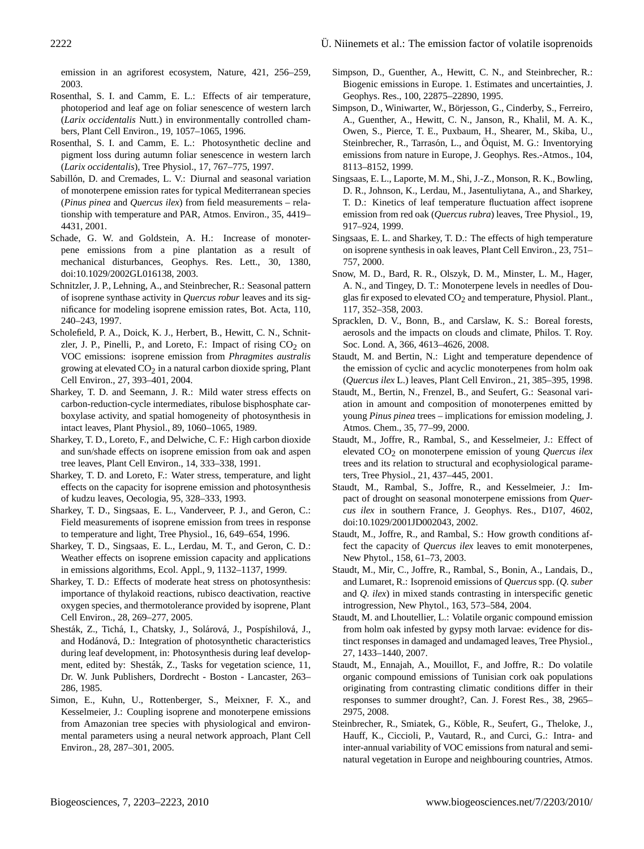emission in an agriforest ecosystem, Nature, 421, 256–259, 2003.

- Rosenthal, S. I. and Camm, E. L.: Effects of air temperature, photoperiod and leaf age on foliar senescence of western larch (*Larix occidentalis* Nutt.) in environmentally controlled chambers, Plant Cell Environ., 19, 1057–1065, 1996.
- Rosenthal, S. I. and Camm, E. L.: Photosynthetic decline and pigment loss during autumn foliar senescence in western larch (*Larix occidentalis*), Tree Physiol., 17, 767–775, 1997.
- Sabillón, D. and Cremades, L. V.: Diurnal and seasonal variation of monoterpene emission rates for typical Mediterranean species (*Pinus pinea* and *Quercus ilex*) from field measurements – relationship with temperature and PAR, Atmos. Environ., 35, 4419– 4431, 2001.
- Schade, G. W. and Goldstein, A. H.: Increase of monoterpene emissions from a pine plantation as a result of mechanical disturbances, Geophys. Res. Lett., 30, 1380, doi:10.1029/2002GL016138, 2003.
- Schnitzler, J. P., Lehning, A., and Steinbrecher, R.: Seasonal pattern of isoprene synthase activity in *Quercus robur* leaves and its significance for modeling isoprene emission rates, Bot. Acta, 110, 240–243, 1997.
- Scholefield, P. A., Doick, K. J., Herbert, B., Hewitt, C. N., Schnitzler, J. P., Pinelli, P., and Loreto, F.: Impact of rising  $CO<sub>2</sub>$  on VOC emissions: isoprene emission from *Phragmites australis* growing at elevated  $CO<sub>2</sub>$  in a natural carbon dioxide spring, Plant Cell Environ., 27, 393–401, 2004.
- Sharkey, T. D. and Seemann, J. R.: Mild water stress effects on carbon-reduction-cycle intermediates, ribulose bisphosphate carboxylase activity, and spatial homogeneity of photosynthesis in intact leaves, Plant Physiol., 89, 1060–1065, 1989.
- Sharkey, T. D., Loreto, F., and Delwiche, C. F.: High carbon dioxide and sun/shade effects on isoprene emission from oak and aspen tree leaves, Plant Cell Environ., 14, 333–338, 1991.
- Sharkey, T. D. and Loreto, F.: Water stress, temperature, and light effects on the capacity for isoprene emission and photosynthesis of kudzu leaves, Oecologia, 95, 328–333, 1993.
- Sharkey, T. D., Singsaas, E. L., Vanderveer, P. J., and Geron, C.: Field measurements of isoprene emission from trees in response to temperature and light, Tree Physiol., 16, 649–654, 1996.
- Sharkey, T. D., Singsaas, E. L., Lerdau, M. T., and Geron, C. D.: Weather effects on isoprene emission capacity and applications in emissions algorithms, Ecol. Appl., 9, 1132–1137, 1999.
- Sharkey, T. D.: Effects of moderate heat stress on photosynthesis: importance of thylakoid reactions, rubisco deactivation, reactive oxygen species, and thermotolerance provided by isoprene, Plant Cell Environ., 28, 269–277, 2005.
- Shesták, Z., Tichá, I., Chatsky, J., Solárová, J., Pospíshilová, J., and Hodánová, D.: Integration of photosynthetic characteristics during leaf development, in: Photosynthesis during leaf development, edited by: Shesták, Z., Tasks for vegetation science, 11, Dr. W. Junk Publishers, Dordrecht - Boston - Lancaster, 263– 286, 1985.
- Simon, E., Kuhn, U., Rottenberger, S., Meixner, F. X., and Kesselmeier, J.: Coupling isoprene and monoterpene emissions from Amazonian tree species with physiological and environmental parameters using a neural network approach, Plant Cell Environ., 28, 287–301, 2005.
- Simpson, D., Guenther, A., Hewitt, C. N., and Steinbrecher, R.: Biogenic emissions in Europe. 1. Estimates and uncertainties, J. Geophys. Res., 100, 22875–22890, 1995.
- Simpson, D., Winiwarter, W., Börjesson, G., Cinderby, S., Ferreiro, A., Guenther, A., Hewitt, C. N., Janson, R., Khalil, M. A. K., Owen, S., Pierce, T. E., Puxbaum, H., Shearer, M., Skiba, U., Steinbrecher, R., Tarrasón, L., and Öquist, M. G.: Inventorying emissions from nature in Europe, J. Geophys. Res.-Atmos., 104, 8113–8152, 1999.
- Singsaas, E. L., Laporte, M. M., Shi, J.-Z., Monson, R. K., Bowling, D. R., Johnson, K., Lerdau, M., Jasentuliytana, A., and Sharkey, T. D.: Kinetics of leaf temperature fluctuation affect isoprene emission from red oak (*Quercus rubra*) leaves, Tree Physiol., 19, 917–924, 1999.
- Singsaas, E. L. and Sharkey, T. D.: The effects of high temperature on isoprene synthesis in oak leaves, Plant Cell Environ., 23, 751– 757, 2000.
- Snow, M. D., Bard, R. R., Olszyk, D. M., Minster, L. M., Hager, A. N., and Tingey, D. T.: Monoterpene levels in needles of Douglas fir exposed to elevated  $CO<sub>2</sub>$  and temperature, Physiol. Plant., 117, 352–358, 2003.
- Spracklen, D. V., Bonn, B., and Carslaw, K. S.: Boreal forests, aerosols and the impacts on clouds and climate, Philos. T. Roy. Soc. Lond. A, 366, 4613–4626, 2008.
- Staudt, M. and Bertin, N.: Light and temperature dependence of the emission of cyclic and acyclic monoterpenes from holm oak (*Quercus ilex* L.) leaves, Plant Cell Environ., 21, 385–395, 1998.
- Staudt, M., Bertin, N., Frenzel, B., and Seufert, G.: Seasonal variation in amount and composition of monoterpenes emitted by young *Pinus pinea* trees – implications for emission modeling, J. Atmos. Chem., 35, 77–99, 2000.
- Staudt, M., Joffre, R., Rambal, S., and Kesselmeier, J.: Effect of elevated CO2 on monoterpene emission of young *Quercus ilex* trees and its relation to structural and ecophysiological parameters, Tree Physiol., 21, 437–445, 2001.
- Staudt, M., Rambal, S., Joffre, R., and Kesselmeier, J.: Impact of drought on seasonal monoterpene emissions from *Quercus ilex* in southern France, J. Geophys. Res., D107, 4602, doi:10.1029/2001JD002043, 2002.
- Staudt, M., Joffre, R., and Rambal, S.: How growth conditions affect the capacity of *Quercus ilex* leaves to emit monoterpenes, New Phytol., 158, 61–73, 2003.
- Staudt, M., Mir, C., Joffre, R., Rambal, S., Bonin, A., Landais, D., and Lumaret, R.: Isoprenoid emissions of *Quercus* spp. (*Q. suber* and *Q. ilex*) in mixed stands contrasting in interspecific genetic introgression, New Phytol., 163, 573–584, 2004.
- Staudt, M. and Lhoutellier, L.: Volatile organic compound emission from holm oak infested by gypsy moth larvae: evidence for distinct responses in damaged and undamaged leaves, Tree Physiol., 27, 1433–1440, 2007.
- Staudt, M., Ennajah, A., Mouillot, F., and Joffre, R.: Do volatile organic compound emissions of Tunisian cork oak populations originating from contrasting climatic conditions differ in their responses to summer drought?, Can. J. Forest Res., 38, 2965– 2975, 2008.
- Steinbrecher, R., Smiatek, G., Köble, R., Seufert, G., Theloke, J., Hauff, K., Ciccioli, P., Vautard, R., and Curci, G.: Intra- and inter-annual variability of VOC emissions from natural and seminatural vegetation in Europe and neighbouring countries, Atmos.